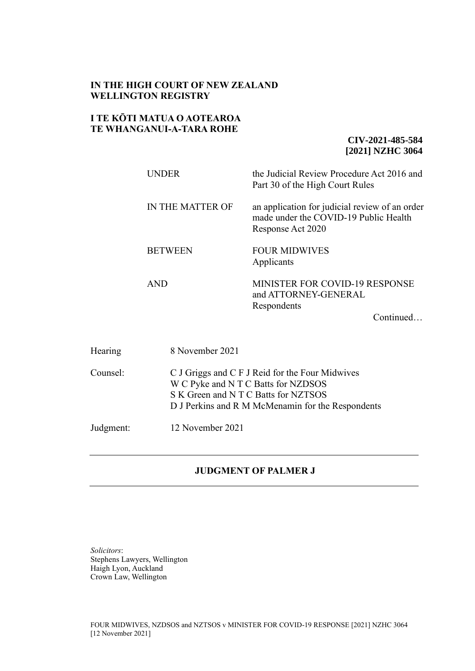### **IN THE HIGH COURT OF NEW ZEALAND WELLINGTON REGISTRY**

## **I TE KŌTI MATUA O AOTEAROA TE WHANGANUI-A-TARA ROHE**

**CIV-2021-485-584 [2021] NZHC 3064**

| <b>UNDER</b>                                    | the Judicial Review Procedure Act 2016 and<br>Part 30 of the High Court Rules                                |  |
|-------------------------------------------------|--------------------------------------------------------------------------------------------------------------|--|
| IN THE MATTER OF                                | an application for judicial review of an order<br>made under the COVID-19 Public Health<br>Response Act 2020 |  |
| <b>BETWEEN</b>                                  | <b>FOUR MIDWIVES</b><br>Applicants                                                                           |  |
| <b>AND</b>                                      | <b>MINISTER FOR COVID-19 RESPONSE</b><br>and ATTORNEY-GENERAL<br>Respondents<br>Continued                    |  |
| 8 November 2021                                 |                                                                                                              |  |
| C J Griggs and C F J Reid for the Four Midwives |                                                                                                              |  |

W C Pyke and N T C Batts for NZDSOS S K Green and N T C Batts for NZTSOS

D J Perkins and R M McMenamin for the Respondents

Judgment: 12 November 2021

## **JUDGMENT OF PALMER J**

*Solicitors*: Stephens Lawyers, Wellington Haigh Lyon, Auckland Crown Law, Wellington

Hearing

Counsel: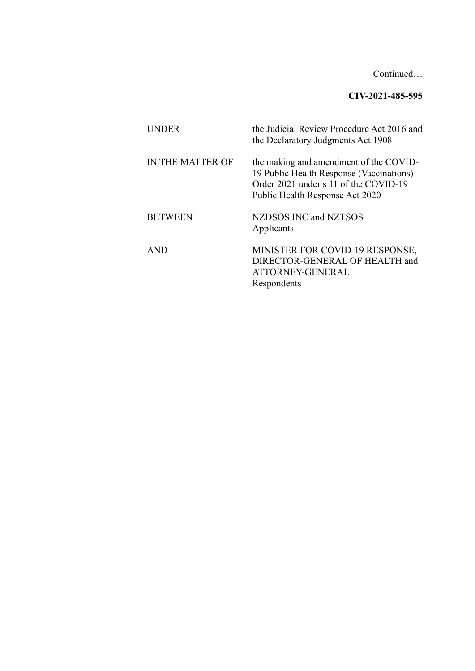Continued…

# **CIV-2021-485-595**

| UNDER            | the Judicial Review Procedure Act 2016 and<br>the Declaratory Judgments Act 1908                                                                               |
|------------------|----------------------------------------------------------------------------------------------------------------------------------------------------------------|
| IN THE MATTER OF | the making and amendment of the COVID-<br>19 Public Health Response (Vaccinations)<br>Order 2021 under s 11 of the COVID-19<br>Public Health Response Act 2020 |
| <b>BETWEEN</b>   | NZDSOS INC and NZTSOS<br>Applicants                                                                                                                            |
| <b>AND</b>       | MINISTER FOR COVID-19 RESPONSE,<br>DIRECTOR-GENERAL OF HEALTH and<br>ATTORNEY-GENERAL<br>Respondents                                                           |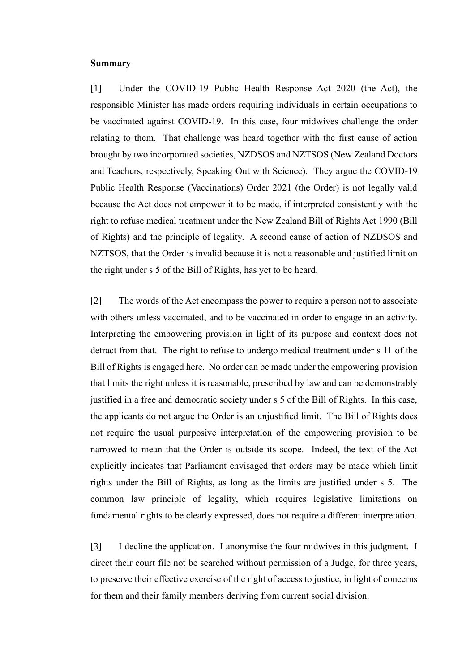#### **Summary**

[1] Under the COVID-19 Public Health Response Act 2020 (the Act), the responsible Minister has made orders requiring individuals in certain occupations to be vaccinated against COVID-19. In this case, four midwives challenge the order relating to them. That challenge was heard together with the first cause of action brought by two incorporated societies, NZDSOS and NZTSOS (New Zealand Doctors and Teachers, respectively, Speaking Out with Science). They argue the COVID-19 Public Health Response (Vaccinations) Order 2021 (the Order) is not legally valid because the Act does not empower it to be made, if interpreted consistently with the right to refuse medical treatment under the New Zealand Bill of Rights Act 1990 (Bill of Rights) and the principle of legality. A second cause of action of NZDSOS and NZTSOS, that the Order is invalid because it is not a reasonable and justified limit on the right under s 5 of the Bill of Rights, has yet to be heard.

[2] The words of the Act encompass the power to require a person not to associate with others unless vaccinated, and to be vaccinated in order to engage in an activity. Interpreting the empowering provision in light of its purpose and context does not detract from that. The right to refuse to undergo medical treatment under s 11 of the Bill of Rights is engaged here. No order can be made under the empowering provision that limits the right unless it is reasonable, prescribed by law and can be demonstrably justified in a free and democratic society under s 5 of the Bill of Rights. In this case, the applicants do not argue the Order is an unjustified limit. The Bill of Rights does not require the usual purposive interpretation of the empowering provision to be narrowed to mean that the Order is outside its scope. Indeed, the text of the Act explicitly indicates that Parliament envisaged that orders may be made which limit rights under the Bill of Rights, as long as the limits are justified under s 5. The common law principle of legality, which requires legislative limitations on fundamental rights to be clearly expressed, does not require a different interpretation.

[3] I decline the application. I anonymise the four midwives in this judgment. I direct their court file not be searched without permission of a Judge, for three years, to preserve their effective exercise of the right of access to justice, in light of concerns for them and their family members deriving from current social division.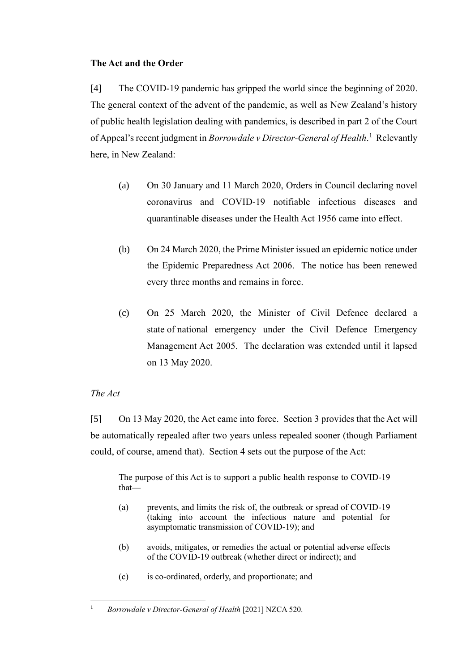## **The Act and the Order**

[4] The COVID-19 pandemic has gripped the world since the beginning of 2020. The general context of the advent of the pandemic, as well as New Zealand's history of public health legislation dealing with pandemics, is described in part 2 of the Court of Appeal's recent judgment in *Borrowdale v Director-General of Health*. 1 Relevantly here, in New Zealand:

- <span id="page-3-0"></span>(a) On 30 January and 11 March 2020, Orders in Council declaring novel coronavirus and COVID-19 notifiable infectious diseases and quarantinable diseases under the Health Act 1956 came into effect.
- (b) On 24 March 2020, the Prime Minister issued an epidemic notice under the Epidemic Preparedness Act 2006. The notice has been renewed every three months and remains in force.
- (c) On 25 March 2020, the Minister of Civil Defence declared a state of national emergency under the Civil Defence Emergency Management Act 2005. The declaration was extended until it lapsed on 13 May 2020.

## *The Act*

[5] On 13 May 2020, the Act came into force. Section 3 provides that the Act will be automatically repealed after two years unless repealed sooner (though Parliament could, of course, amend that). Section 4 sets out the purpose of the Act:

The purpose of this Act is to support a public health response to COVID-19 that—

- (a) prevents, and limits the risk of, the outbreak or spread of COVID-19 (taking into account the infectious nature and potential for asymptomatic transmission of COVID-19); and
- (b) avoids, mitigates, or remedies the actual or potential adverse effects of the COVID-19 outbreak (whether direct or indirect); and
- (c) is co-ordinated, orderly, and proportionate; and

<sup>&</sup>lt;sup>1</sup> *Borrowdale v Director-General of Health* [2021] NZCA 520.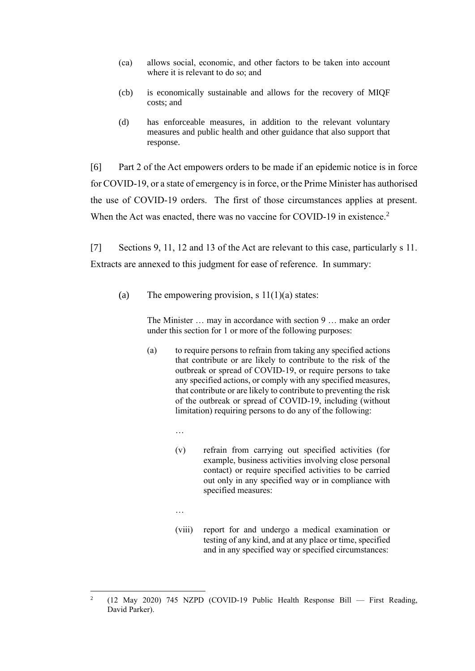- (ca) allows social, economic, and other factors to be taken into account where it is relevant to do so; and
- (cb) is economically sustainable and allows for the recovery of MIQF costs; and
- (d) has enforceable measures, in addition to the relevant voluntary measures and public health and other guidance that also support that response.

[6] Part 2 of the Act empowers orders to be made if an epidemic notice is in force for COVID-19, or a state of emergency is in force, or the Prime Minister has authorised the use of COVID-19 orders. The first of those circumstances applies at present. When the Act was enacted, there was no vaccine for COVID-19 in existence.<sup>2</sup>

[7] Sections 9, 11, 12 and 13 of the Act are relevant to this case, particularly s 11. Extracts are annexed to this judgment for ease of reference. In summary:

(a) The empowering provision, s  $11(1)(a)$  states:

The Minister … may in accordance with [section 9](https://www.legislation.govt.nz/act/public/2020/0012/latest/link.aspx?id=LMS344175#LMS344175) … make an order under this section for 1 or more of the following purposes:

- (a) to require persons to refrain from taking any specified actions that contribute or are likely to contribute to the risk of the outbreak or spread of COVID-19, or require persons to take any specified actions, or comply with any specified measures, that contribute or are likely to contribute to preventing the risk of the outbreak or spread of COVID-19, including (without limitation) requiring persons to do any of the following:
	- …
	- (v) refrain from carrying out specified activities (for example, business activities involving close personal contact) or require specified activities to be carried out only in any specified way or in compliance with specified measures:
	- …
	- (viii) report for and undergo a medical examination or testing of any kind, and at any place or time, specified and in any specified way or specified circumstances:

<sup>2</sup> (12 May 2020) 745 NZPD (COVID-19 Public Health Response Bill — First Reading, David Parker).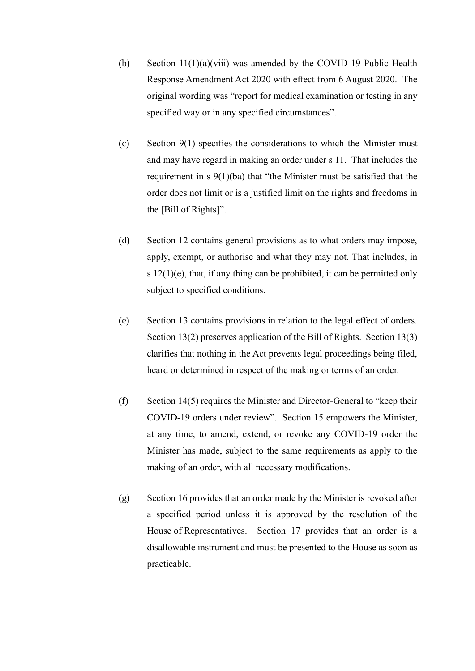- (b) Section 11(1)(a)(viii) was amended by the COVID-19 Public Health Response Amendment Act 2020 with effect from 6 August 2020. The original wording was "report for medical examination or testing in any specified way or in any specified circumstances".
- (c) Section  $9(1)$  specifies the considerations to which the Minister must and may have regard in making an order under s 11. That includes the requirement in s 9(1)(ba) that "the Minister must be satisfied that the order does not limit or is a justified limit on the rights and freedoms in the [Bill of Rights]".
- (d) Section 12 contains general provisions as to what orders may impose, apply, exempt, or authorise and what they may not. That includes, in s  $12(1)(e)$ , that, if any thing can be prohibited, it can be permitted only subject to specified conditions.
- (e) Section 13 contains provisions in relation to the legal effect of orders. Section 13(2) preserves application of the Bill of Rights. Section 13(3) clarifies that nothing in the Act prevents legal proceedings being filed, heard or determined in respect of the making or terms of an order.
- (f) Section 14(5) requires the Minister and Director-General to "keep their COVID-19 orders under review". Section 15 empowers the Minister, at any time, to amend, extend, or revoke any COVID-19 order the Minister has made, subject to the same requirements as apply to the making of an order, with all necessary modifications.
- (g) Section 16 provides that an order made by the Minister is revoked after a specified period unless it is approved by the resolution of the House of Representatives. Section 17 provides that an order is a disallowable instrument and must be presented to the House as soon as practicable.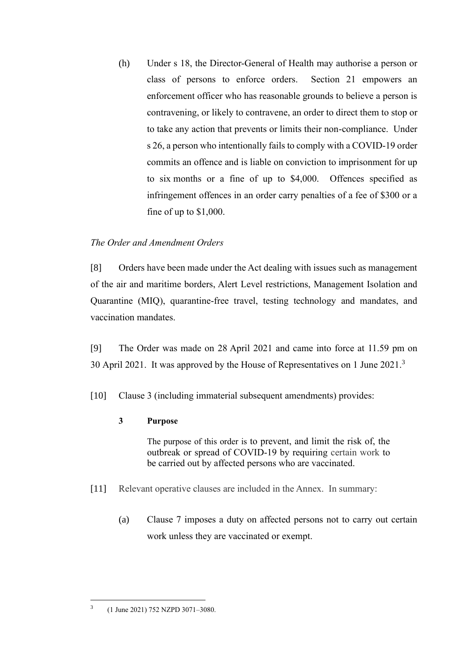(h) Under s 18, the Director-General of Health may authorise a person or class of persons to enforce orders. Section 21 empowers an enforcement officer who has reasonable grounds to believe a person is contravening, or likely to contravene, an order to direct them to stop or to take any action that prevents or limits their non-compliance. Under s 26, a person who intentionally fails to comply with a COVID-19 order commits an offence and is liable on conviction to imprisonment for up to six months or a fine of up to \$4,000. Offences specified as infringement offences in an order carry penalties of a fee of \$300 or a fine of up to \$1,000.

## *The Order and Amendment Orders*

[8] Orders have been made under the Act dealing with issues such as management of the air and maritime borders, Alert Level restrictions, Management Isolation and Quarantine (MIQ), quarantine-free travel, testing technology and mandates, and vaccination mandates.

[9] The Order was made on 28 April 2021 and came into force at 11.59 pm on 30 April 2021. It was approved by the House of Representatives on 1 June 2021.<sup>3</sup>

[10] Clause 3 (including immaterial subsequent amendments) provides:

## **3 Purpose**

The purpose of this order is to prevent, and limit the risk of, the outbreak or spread of COVID-19 by requiring certain work to be carried out by affected persons who are vaccinated.

- [11] Relevant operative clauses are included in the Annex. In summary:
	- (a) Clause 7 imposes a duty on affected persons not to carry out certain work unless they are vaccinated or exempt.

<sup>3</sup> (1 June 2021) 752 NZPD 3071–3080.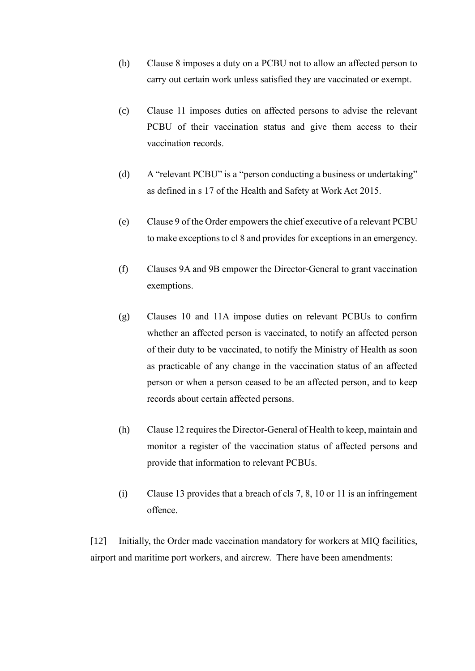- (b) Clause 8 imposes a duty on a PCBU not to allow an affected person to carry out certain work unless satisfied they are vaccinated or exempt.
- (c) Clause 11 imposes duties on affected persons to advise the relevant PCBU of their vaccination status and give them access to their vaccination records.
- (d) A "relevant PCBU" is a "person conducting a business or undertaking" as defined in s 17 of the Health and Safety at Work Act 2015.
- (e) Clause 9 of the Order empowers the chief executive of a relevant PCBU to make exceptions to cl 8 and provides for exceptions in an emergency.
- (f) Clauses 9A and 9B empower the Director-General to grant vaccination exemptions.
- (g) Clauses 10 and 11A impose duties on relevant PCBUs to confirm whether an affected person is vaccinated, to notify an affected person of their duty to be vaccinated, to notify the Ministry of Health as soon as practicable of any change in the vaccination status of an affected person or when a person ceased to be an affected person, and to keep records about certain affected persons.
- (h) Clause 12 requires the Director-General of Health to keep, maintain and monitor a register of the vaccination status of affected persons and provide that information to relevant PCBUs.
- (i) Clause 13 provides that a breach of cls 7, 8, 10 or 11 is an infringement offence.

[12] Initially, the Order made vaccination mandatory for workers at MIQ facilities, airport and maritime port workers, and aircrew. There have been amendments: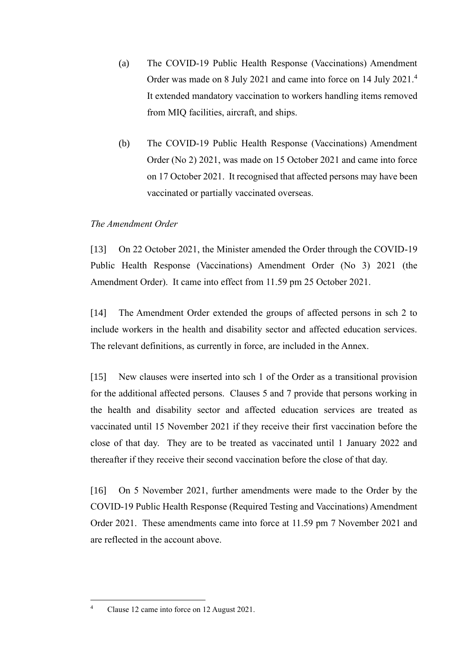- (a) The COVID-19 Public Health Response (Vaccinations) Amendment Order was made on 8 July 2021 and came into force on 14 July 2021.<sup>4</sup> It extended mandatory vaccination to workers handling items removed from MIQ facilities, aircraft, and ships.
- (b) The COVID-19 Public Health Response (Vaccinations) Amendment Order (No 2) 2021, was made on 15 October 2021 and came into force on 17 October 2021. It recognised that affected persons may have been vaccinated or partially vaccinated overseas.

## *The Amendment Order*

[13] On 22 October 2021, the Minister amended the Order through the COVID-19 Public Health Response (Vaccinations) Amendment Order (No 3) 2021 (the Amendment Order). It came into effect from 11.59 pm 25 October 2021.

[14] The Amendment Order extended the groups of affected persons in sch 2 to include workers in the health and disability sector and affected education services. The relevant definitions, as currently in force, are included in the Annex.

[15] New clauses were inserted into sch 1 of the Order as a transitional provision for the additional affected persons. Clauses 5 and 7 provide that persons working in the health and disability sector and affected education services are treated as vaccinated until 15 November 2021 if they receive their first vaccination before the close of that day. They are to be treated as vaccinated until 1 January 2022 and thereafter if they receive their second vaccination before the close of that day.

[16] On 5 November 2021, further amendments were made to the Order by the COVID-19 Public Health Response (Required Testing and Vaccinations) Amendment Order 2021. These amendments came into force at 11.59 pm 7 November 2021 and are reflected in the account above.

<sup>4</sup> Clause 12 came into force on 12 August 2021.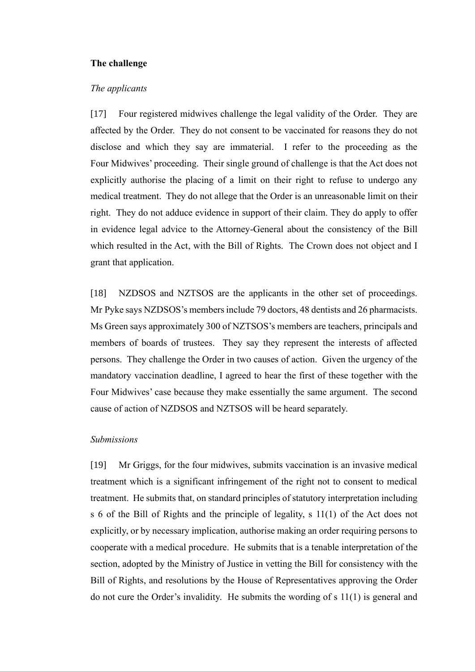### **The challenge**

#### *The applicants*

[17] Four registered midwives challenge the legal validity of the Order. They are affected by the Order. They do not consent to be vaccinated for reasons they do not disclose and which they say are immaterial. I refer to the proceeding as the Four Midwives' proceeding. Their single ground of challenge is that the Act does not explicitly authorise the placing of a limit on their right to refuse to undergo any medical treatment. They do not allege that the Order is an unreasonable limit on their right. They do not adduce evidence in support of their claim. They do apply to offer in evidence legal advice to the Attorney-General about the consistency of the Bill which resulted in the Act, with the Bill of Rights. The Crown does not object and I grant that application.

[18] NZDSOS and NZTSOS are the applicants in the other set of proceedings. Mr Pyke says NZDSOS's members include 79 doctors, 48 dentists and 26 pharmacists. Ms Green says approximately 300 of NZTSOS's members are teachers, principals and members of boards of trustees. They say they represent the interests of affected persons. They challenge the Order in two causes of action. Given the urgency of the mandatory vaccination deadline, I agreed to hear the first of these together with the Four Midwives' case because they make essentially the same argument. The second cause of action of NZDSOS and NZTSOS will be heard separately.

#### *Submissions*

[19] Mr Griggs, for the four midwives, submits vaccination is an invasive medical treatment which is a significant infringement of the right not to consent to medical treatment. He submits that, on standard principles of statutory interpretation including s 6 of the Bill of Rights and the principle of legality, s 11(1) of the Act does not explicitly, or by necessary implication, authorise making an order requiring persons to cooperate with a medical procedure. He submits that is a tenable interpretation of the section, adopted by the Ministry of Justice in vetting the Bill for consistency with the Bill of Rights, and resolutions by the House of Representatives approving the Order do not cure the Order's invalidity. He submits the wording of s 11(1) is general and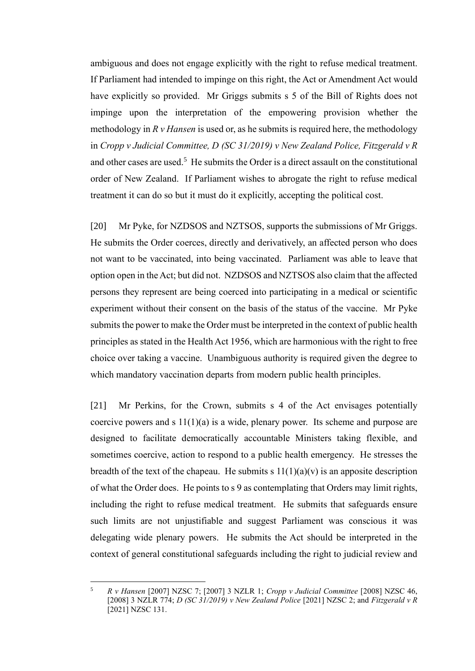ambiguous and does not engage explicitly with the right to refuse medical treatment. If Parliament had intended to impinge on this right, the Act or Amendment Act would have explicitly so provided. Mr Griggs submits s 5 of the Bill of Rights does not impinge upon the interpretation of the empowering provision whether the methodology in *R v Hansen* is used or, as he submits is required here, the methodology in *Cropp v Judicial Committee, D (SC 31/2019) v New Zealand Police, Fitzgerald v R* and other cases are used.<sup>5</sup> He submits the Order is a direct assault on the constitutional order of New Zealand. If Parliament wishes to abrogate the right to refuse medical treatment it can do so but it must do it explicitly, accepting the political cost.

<span id="page-10-0"></span>[20] Mr Pyke, for NZDSOS and NZTSOS, supports the submissions of Mr Griggs. He submits the Order coerces, directly and derivatively, an affected person who does not want to be vaccinated, into being vaccinated. Parliament was able to leave that option open in the Act; but did not. NZDSOS and NZTSOS also claim that the affected persons they represent are being coerced into participating in a medical or scientific experiment without their consent on the basis of the status of the vaccine. Mr Pyke submits the power to make the Order must be interpreted in the context of public health principles as stated in the Health Act 1956, which are harmonious with the right to free choice over taking a vaccine. Unambiguous authority is required given the degree to which mandatory vaccination departs from modern public health principles.

[21] Mr Perkins, for the Crown, submits s 4 of the Act envisages potentially coercive powers and s  $11(1)(a)$  is a wide, plenary power. Its scheme and purpose are designed to facilitate democratically accountable Ministers taking flexible, and sometimes coercive, action to respond to a public health emergency. He stresses the breadth of the text of the chapeau. He submits s  $11(1)(a)(v)$  is an apposite description of what the Order does. He points to s 9 as contemplating that Orders may limit rights, including the right to refuse medical treatment. He submits that safeguards ensure such limits are not unjustifiable and suggest Parliament was conscious it was delegating wide plenary powers. He submits the Act should be interpreted in the context of general constitutional safeguards including the right to judicial review and

<sup>5</sup> *R v Hansen* [2007] NZSC 7; [2007] 3 NZLR 1; *Cropp v Judicial Committee* [2008] NZSC 46, [2008] 3 NZLR 774; *D (SC 31/2019) v New Zealand Police* [2021] NZSC 2; and *Fitzgerald v R*  [2021] NZSC 131.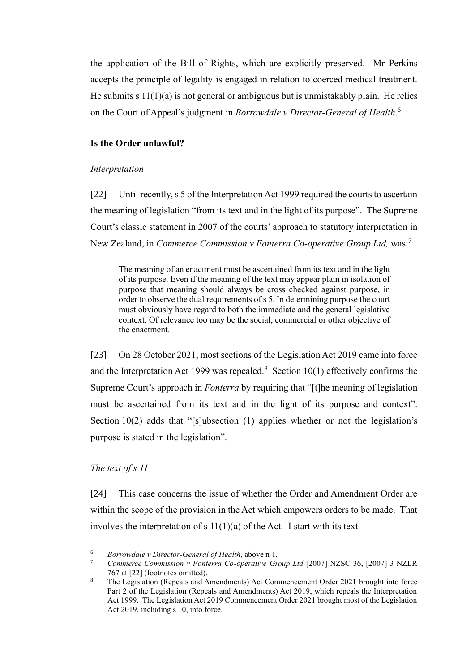the application of the Bill of Rights, which are explicitly preserved. Mr Perkins accepts the principle of legality is engaged in relation to coerced medical treatment. He submits s  $11(1)(a)$  is not general or ambiguous but is unmistakably plain. He relies on the Court of Appeal's judgment in *Borrowdale v Director-General of Health*. 6

### **Is the Order unlawful?**

### *Interpretation*

[22] Until recently, s 5 of the Interpretation Act 1999 required the courts to ascertain the meaning of legislation "from its text and in the light of its purpose". The Supreme Court's classic statement in 2007 of the courts' approach to statutory interpretation in New Zealand, in *Commerce Commission v Fonterra Co-operative Group Ltd,* was:<sup>7</sup>

The meaning of an enactment must be ascertained from its text and in the light of its purpose. Even if the meaning of the text may appear plain in isolation of purpose that meaning should always be cross checked against purpose, in order to observe the dual requirements of s 5. In determining purpose the court must obviously have regard to both the immediate and the general legislative context. Of relevance too may be the social, commercial or other objective of the enactment.

[23] On 28 October 2021, most sections of the Legislation Act 2019 came into force and the Interpretation Act 1999 was repealed.<sup>8</sup> Section  $10(1)$  effectively confirms the Supreme Court's approach in *Fonterra* by requiring that "[t]he meaning of legislation must be ascertained from its text and in the light of its purpose and context". Section 10(2) adds that "[s]ubsection (1) applies whether or not the legislation's purpose is stated in the legislation".

### *The text of s 11*

[24] This case concerns the issue of whether the Order and Amendment Order are within the scope of the provision in the Act which empowers orders to be made. That involves the interpretation of s  $11(1)(a)$  of the Act. I start with its text.

<sup>6</sup> *Borrowdale v Director-General of Health*, above n [1.](#page-3-0)

<sup>7</sup> *Commerce Commission v Fonterra Co-operative Group Ltd* [2007] NZSC 36, [2007] 3 NZLR 767 at [22] (footnotes omitted).

<sup>8</sup> The Legislation (Repeals and Amendments) Act Commencement Order 2021 brought into force Part 2 of the Legislation (Repeals and Amendments) Act 2019, which repeals the Interpretation Act 1999. The Legislation Act 2019 Commencement Order 2021 brought most of the Legislation Act 2019, including s 10, into force.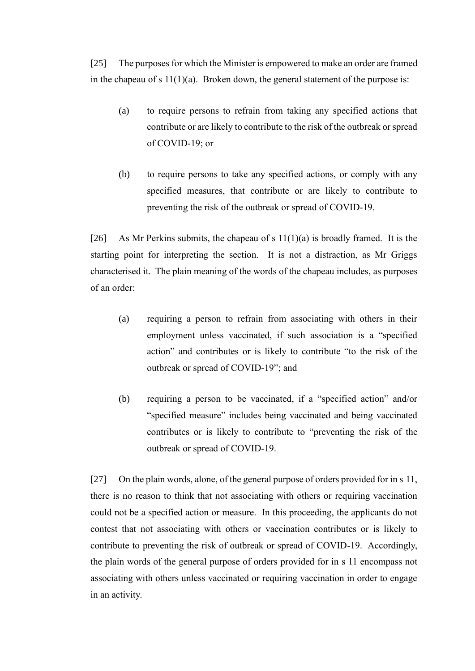[25] The purposes for which the Minister is empowered to make an order are framed in the chapeau of s  $11(1)(a)$ . Broken down, the general statement of the purpose is:

- (a) to require persons to refrain from taking any specified actions that contribute or are likely to contribute to the risk of the outbreak or spread of COVID-19; or
- (b) to require persons to take any specified actions, or comply with any specified measures, that contribute or are likely to contribute to preventing the risk of the outbreak or spread of COVID-19.

[26] As Mr Perkins submits, the chapeau of s  $11(1)(a)$  is broadly framed. It is the starting point for interpreting the section. It is not a distraction, as Mr Griggs characterised it. The plain meaning of the words of the chapeau includes, as purposes of an order:

- (a) requiring a person to refrain from associating with others in their employment unless vaccinated, if such association is a "specified action" and contributes or is likely to contribute "to the risk of the outbreak or spread of COVID-19"; and
- (b) requiring a person to be vaccinated, if a "specified action" and/or "specified measure" includes being vaccinated and being vaccinated contributes or is likely to contribute to "preventing the risk of the outbreak or spread of COVID-19.

[27] On the plain words, alone, of the general purpose of orders provided for in s 11, there is no reason to think that not associating with others or requiring vaccination could not be a specified action or measure. In this proceeding, the applicants do not contest that not associating with others or vaccination contributes or is likely to contribute to preventing the risk of outbreak or spread of COVID-19. Accordingly, the plain words of the general purpose of orders provided for in s 11 encompass not associating with others unless vaccinated or requiring vaccination in order to engage in an activity.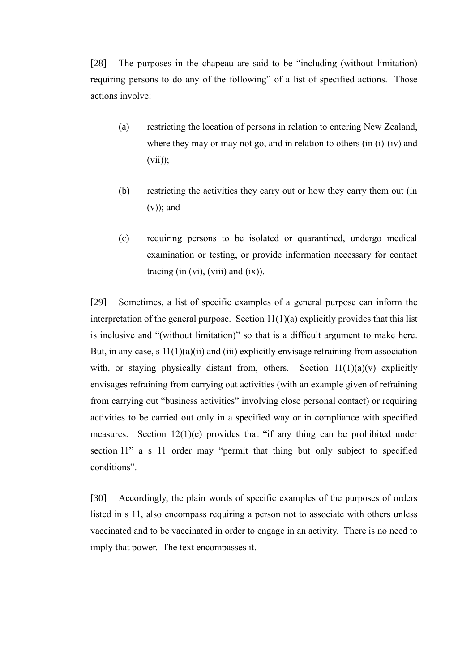[28] The purposes in the chapeau are said to be "including (without limitation) requiring persons to do any of the following" of a list of specified actions. Those actions involve:

- (a) restricting the location of persons in relation to entering New Zealand, where they may or may not go, and in relation to others (in (i)-(iv) and  $(vii)$ ;
- (b) restricting the activities they carry out or how they carry them out (in  $(v)$ ; and
- (c) requiring persons to be isolated or quarantined, undergo medical examination or testing, or provide information necessary for contact tracing (in  $(vi)$ ,  $(viii)$  and  $(ix)$ ).

[29] Sometimes, a list of specific examples of a general purpose can inform the interpretation of the general purpose. Section  $11(1)(a)$  explicitly provides that this list is inclusive and "(without limitation)" so that is a difficult argument to make here. But, in any case, s  $11(1)(a)(ii)$  and (iii) explicitly envisage refraining from association with, or staying physically distant from, others. Section  $11(1)(a)(v)$  explicitly envisages refraining from carrying out activities (with an example given of refraining from carrying out "business activities" involving close personal contact) or requiring activities to be carried out only in a specified way or in compliance with specified measures. Section 12(1)(e) provides that "if any thing can be prohibited under section 11" a s 11 order may "permit that thing but only subject to specified conditions".

[30] Accordingly, the plain words of specific examples of the purposes of orders listed in s 11, also encompass requiring a person not to associate with others unless vaccinated and to be vaccinated in order to engage in an activity. There is no need to imply that power. The text encompasses it.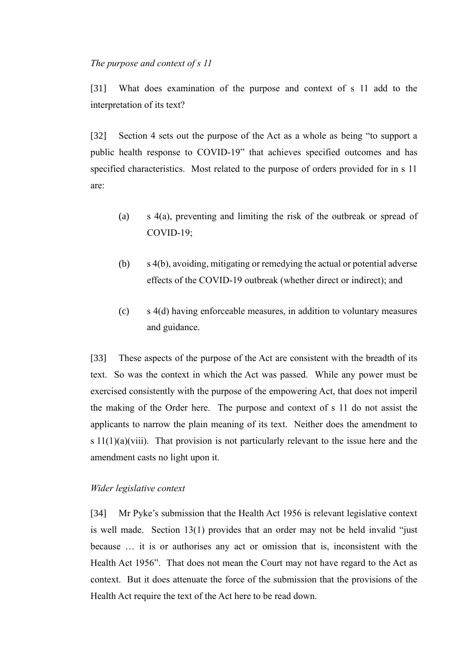#### *The purpose and context of s 11*

[31] What does examination of the purpose and context of s 11 add to the interpretation of its text?

[32] Section 4 sets out the purpose of the Act as a whole as being "to support a public health response to COVID-19" that achieves specified outcomes and has specified characteristics. Most related to the purpose of orders provided for in s 11 are:

- (a) s 4(a), preventing and limiting the risk of the outbreak or spread of COVID-19;
- (b) s 4(b), avoiding, mitigating or remedying the actual or potential adverse effects of the COVID-19 outbreak (whether direct or indirect); and
- (c) s 4(d) having enforceable measures, in addition to voluntary measures and guidance.

[33] These aspects of the purpose of the Act are consistent with the breadth of its text. So was the context in which the Act was passed. While any power must be exercised consistently with the purpose of the empowering Act, that does not imperil the making of the Order here. The purpose and context of s 11 do not assist the applicants to narrow the plain meaning of its text. Neither does the amendment to s  $11(1)(a)(viii)$ . That provision is not particularly relevant to the issue here and the amendment casts no light upon it.

### *Wider legislative context*

[34] Mr Pyke's submission that the Health Act 1956 is relevant legislative context is well made. Section 13(1) provides that an order may not be held invalid "just because … it is or authorises any act or omission that is, inconsistent with the Health Act 1956". That does not mean the Court may not have regard to the Act as context. But it does attenuate the force of the submission that the provisions of the Health Act require the text of the Act here to be read down.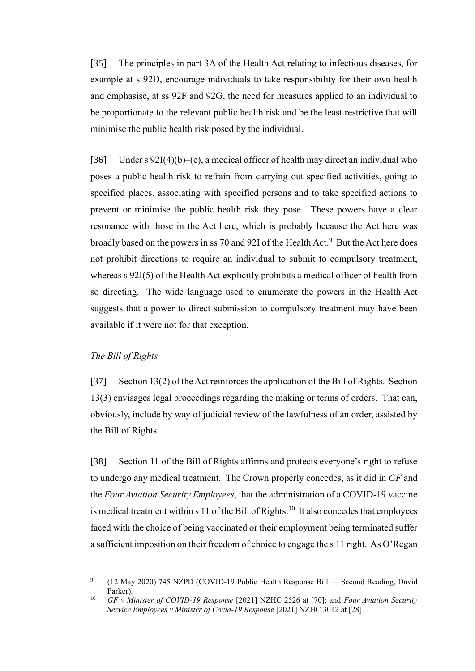[35] The principles in part 3A of the Health Act relating to infectious diseases, for example at s 92D, encourage individuals to take responsibility for their own health and emphasise, at ss 92F and 92G, the need for measures applied to an individual to be proportionate to the relevant public health risk and be the least restrictive that will minimise the public health risk posed by the individual.

[36] Under s  $92I(4)(b)$  –(e), a medical officer of health may direct an individual who poses a public health risk to refrain from carrying out specified activities, going to specified places, associating with specified persons and to take specified actions to prevent or minimise the public health risk they pose. These powers have a clear resonance with those in the Act here, which is probably because the Act here was broadly based on the powers in ss 70 and 92I of the Health Act.<sup>9</sup> But the Act here does not prohibit directions to require an individual to submit to compulsory treatment, whereas s 92I(5) of the Health Act explicitly prohibits a medical officer of health from so directing. The wide language used to enumerate the powers in the Health Act suggests that a power to direct submission to compulsory treatment may have been available if it were not for that exception.

### *The Bill of Rights*

[37] Section 13(2) of the Act reinforces the application of the Bill of Rights. Section 13(3) envisages legal proceedings regarding the making or terms of orders. That can, obviously, include by way of judicial review of the lawfulness of an order, assisted by the Bill of Rights.

<span id="page-15-0"></span>[38] Section 11 of the Bill of Rights affirms and protects everyone's right to refuse to undergo any medical treatment. The Crown properly concedes, as it did in *GF* and the *Four Aviation Security Employees*, that the administration of a COVID-19 vaccine is medical treatment within s 11 of the Bill of Rights.<sup>10</sup> It also concedes that employees faced with the choice of being vaccinated or their employment being terminated suffer a sufficient imposition on their freedom of choice to engage the s 11 right. As O'Regan

<sup>9</sup> (12 May 2020) 745 NZPD (COVID-19 Public Health Response Bill — Second Reading, David Parker).

<sup>10</sup> *GF v Minister of COVID-19 Response* [2021] NZHC 2526 at [70]; and *Four Aviation Security Service Employees v Minister of Covid-19 Response* [2021] NZHC 3012 at [28].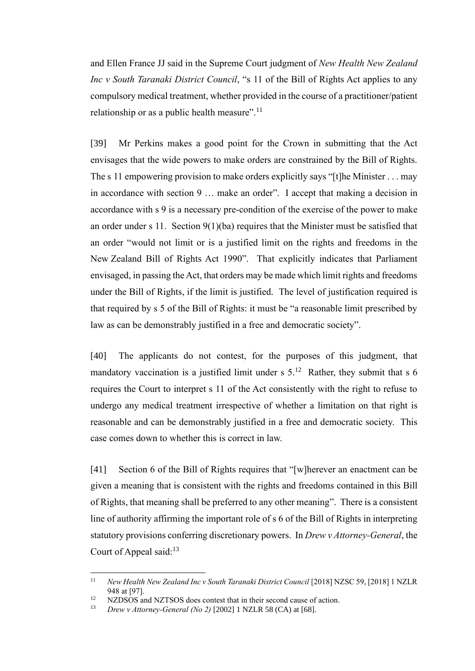and Ellen France JJ said in the Supreme Court judgment of *New Health New Zealand Inc v South Taranaki District Council*, "s 11 of the Bill of Rights Act applies to any compulsory medical treatment, whether provided in the course of a practitioner/patient relationship or as a public health measure".<sup>11</sup>

<span id="page-16-1"></span>[39] Mr Perkins makes a good point for the Crown in submitting that the Act envisages that the wide powers to make orders are constrained by the Bill of Rights. The s 11 empowering provision to make orders explicitly says "[t]he Minister . . . may in accordance with section 9 … make an order". I accept that making a decision in accordance with s 9 is a necessary pre-condition of the exercise of the power to make an order under s 11. Section 9(1)(ba) requires that the Minister must be satisfied that an order "would not limit or is a justified limit on the rights and freedoms in the New Zealand Bill of Rights Act 1990". That explicitly indicates that Parliament envisaged, in passing the Act, that orders may be made which limit rights and freedoms under the Bill of Rights, if the limit is justified. The level of justification required is that required by s 5 of the Bill of Rights: it must be "a reasonable limit prescribed by law as can be demonstrably justified in a free and democratic society".

[40] The applicants do not contest, for the purposes of this judgment, that mandatory vaccination is a justified limit under  $s$  5.<sup>12</sup> Rather, they submit that  $s$  6 requires the Court to interpret s 11 of the Act consistently with the right to refuse to undergo any medical treatment irrespective of whether a limitation on that right is reasonable and can be demonstrably justified in a free and democratic society. This case comes down to whether this is correct in law.

[41] Section 6 of the Bill of Rights requires that "[w]herever an enactment can be given a meaning that is consistent with the rights and freedoms contained in this Bill of Rights, that meaning shall be preferred to any other meaning". There is a consistent line of authority affirming the important role of s 6 of the Bill of Rights in interpreting statutory provisions conferring discretionary powers. In *Drew v Attorney-General*, the Court of Appeal said: $13$ 

<span id="page-16-0"></span><sup>&</sup>lt;sup>11</sup> *New Health New Zealand Inc v South Taranaki District Council* [2018] NZSC 59, [2018] 1 NZLR 948 at [97].

<sup>&</sup>lt;sup>12</sup> NZDSOS and NZTSOS does contest that in their second cause of action.<br><sup>13</sup> Drew y Attorney-General (No. 2) [2002] 1 NZI R 58 (CA) at [68]

<sup>13</sup> *Drew v Attorney-General (No 2)* [2002] 1 NZLR 58 (CA) at [68].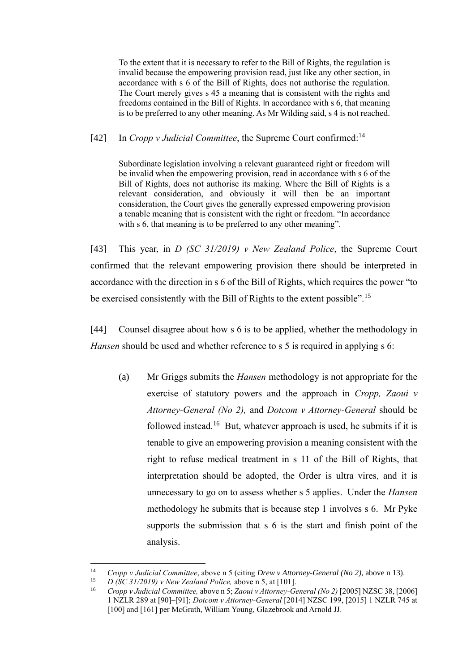To the extent that it is necessary to refer to the Bill of Rights, the regulation is invalid because the empowering provision read, just like any other section, in accordance with s 6 of the Bill of Rights, does not authorise the regulation. The Court merely gives s 45 a meaning that is consistent with the rights and freedoms contained in the Bill of Rights. In accordance with s 6, that meaning is to be preferred to any other meaning. As Mr Wilding said, s 4 is not reached.

[42] In *Cropp v Judicial Committee*, the Supreme Court confirmed:<sup>14</sup>

Subordinate legislation involving a relevant guaranteed right or freedom will be invalid when the empowering provision, read in accordance with s 6 of the Bill of Rights, does not authorise its making. Where the Bill of Rights is a relevant consideration, and obviously it will then be an important consideration, the Court gives the generally expressed empowering provision a tenable meaning that is consistent with the right or freedom. "In accordance with s 6, that meaning is to be preferred to any other meaning".

[43] This year, in *D (SC 31/2019) v New Zealand Police*, the Supreme Court confirmed that the relevant empowering provision there should be interpreted in accordance with the direction in s 6 of the Bill of Rights, which requires the power "to be exercised consistently with the Bill of Rights to the extent possible".<sup>15</sup>

[44] Counsel disagree about how s 6 is to be applied, whether the methodology in *Hansen* should be used and whether reference to s 5 is required in applying s 6:

<span id="page-17-0"></span>(a) Mr Griggs submits the *Hansen* methodology is not appropriate for the exercise of statutory powers and the approach in *Cropp, Zaoui v Attorney-General (No 2),* and *Dotcom v Attorney-General* should be followed instead.<sup>16</sup> But, whatever approach is used, he submits if it is tenable to give an empowering provision a meaning consistent with the right to refuse medical treatment in s 11 of the Bill of Rights, that interpretation should be adopted, the Order is ultra vires, and it is unnecessary to go on to assess whether s 5 applies. Under the *Hansen*  methodology he submits that is because step 1 involves s 6. Mr Pyke supports the submission that s 6 is the start and finish point of the analysis.

<sup>14</sup> *Cropp v Judicial Committee*, above n [5](#page-10-0) (citing *Drew v Attorney-General (No 2)*, above [n 13\)](#page-16-0).

<sup>15</sup> *D (SC 31/2019) v New Zealand Police,* above [n 5,](#page-10-0) at [101].

<sup>16</sup> *Cropp v Judicial Committee,* above n [5;](#page-10-0) *Zaoui v Attorney-General (No 2)* [2005] NZSC 38, [2006] 1 NZLR 289 at [90]–[91]; *Dotcom v Attorney-General* [2014] NZSC 199, [2015] 1 NZLR 745 at [100] and [161] per McGrath, William Young, Glazebrook and Arnold JJ.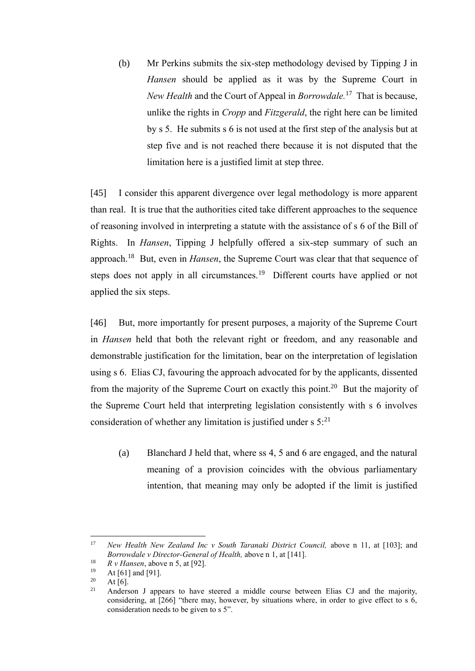(b) Mr Perkins submits the six-step methodology devised by Tipping J in *Hansen* should be applied as it was by the Supreme Court in *New Health* and the Court of Appeal in *Borrowdale.*<sup>17</sup> That is because, unlike the rights in *Cropp* and *Fitzgerald*, the right here can be limited by s 5. He submits s 6 is not used at the first step of the analysis but at step five and is not reached there because it is not disputed that the limitation here is a justified limit at step three.

[45] I consider this apparent divergence over legal methodology is more apparent than real. It is true that the authorities cited take different approaches to the sequence of reasoning involved in interpreting a statute with the assistance of s 6 of the Bill of Rights. In *Hansen*, Tipping J helpfully offered a six-step summary of such an approach.<sup>18</sup> But, even in *Hansen*, the Supreme Court was clear that that sequence of steps does not apply in all circumstances.<sup>19</sup> Different courts have applied or not applied the six steps.

[46] But, more importantly for present purposes, a majority of the Supreme Court in *Hansen* held that both the relevant right or freedom, and any reasonable and demonstrable justification for the limitation, bear on the interpretation of legislation using s 6. Elias CJ, favouring the approach advocated for by the applicants, dissented from the majority of the Supreme Court on exactly this point.<sup>20</sup> But the majority of the Supreme Court held that interpreting legislation consistently with s 6 involves consideration of whether any limitation is justified under  $s 5$ <sup>21</sup>

(a) Blanchard J held that, where ss 4, 5 and 6 are engaged, and the natural meaning of a provision coincides with the obvious parliamentary intention, that meaning may only be adopted if the limit is justified

<sup>&</sup>lt;sup>17</sup> *New Health New Zealand Inc v South Taranaki District Council, above n [11,](#page-16-1) at [103]; and Borrowdale v Director-General of Health,* above n [1,](#page-3-0) at [141].

<sup>&</sup>lt;sup>18</sup> *R v Hansen*, above [n 5,](#page-10-0) at [92].

 $19$  At [61] and [91].

 $20$  At [6].

<sup>21</sup> Anderson J appears to have steered a middle course between Elias CJ and the majority, considering, at [266] "there may, however, by situations where, in order to give effect to s 6, consideration needs to be given to s 5".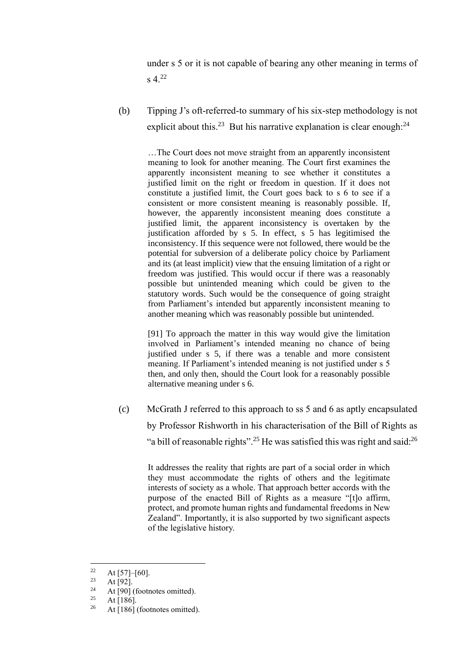under s 5 or it is not capable of bearing any other meaning in terms of  $s$  4.<sup>22</sup>

(b) Tipping J's oft-referred-to summary of his six-step methodology is not explicit about this.<sup>23</sup> But his narrative explanation is clear enough: $^{24}$ 

…The Court does not move straight from an apparently inconsistent meaning to look for another meaning. The Court first examines the apparently inconsistent meaning to see whether it constitutes a justified limit on the right or freedom in question. If it does not constitute a justified limit, the Court goes back to s 6 to see if a consistent or more consistent meaning is reasonably possible. If, however, the apparently inconsistent meaning does constitute a justified limit, the apparent inconsistency is overtaken by the justification afforded by s 5. In effect, s 5 has legitimised the inconsistency. If this sequence were not followed, there would be the potential for subversion of a deliberate policy choice by Parliament and its (at least implicit) view that the ensuing limitation of a right or freedom was justified. This would occur if there was a reasonably possible but unintended meaning which could be given to the statutory words. Such would be the consequence of going straight from Parliament's intended but apparently inconsistent meaning to another meaning which was reasonably possible but unintended.

[91] To approach the matter in this way would give the limitation involved in Parliament's intended meaning no chance of being justified under s 5, if there was a tenable and more consistent meaning. If Parliament's intended meaning is not justified under s 5 then, and only then, should the Court look for a reasonably possible alternative meaning under s 6.

(c) McGrath J referred to this approach to ss 5 and 6 as aptly encapsulated by Professor Rishworth in his characterisation of the Bill of Rights as "a bill of reasonable rights".<sup>25</sup> He was satisfied this was right and said:<sup>26</sup>

It addresses the reality that rights are part of a social order in which they must accommodate the rights of others and the legitimate interests of society as a whole. That approach better accords with the purpose of the enacted Bill of Rights as a measure "[t]o affirm, protect, and promote human rights and fundamental freedoms in New Zealand". Importantly, it is also supported by two significant aspects of the legislative history.

<sup>&</sup>lt;sup>22</sup> At [57]–[60].

 $23$  At [92].

<sup>&</sup>lt;sup>24</sup> At [90] (footnotes omitted).

 $\frac{25}{26}$  At [186].

At [186] (footnotes omitted).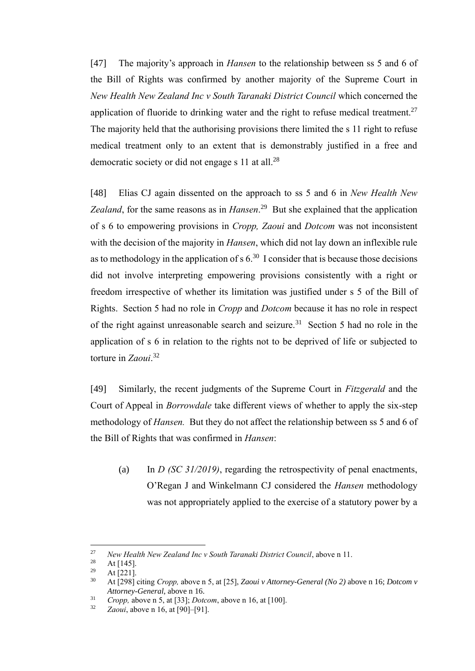[47] The majority's approach in *Hansen* to the relationship between ss 5 and 6 of the Bill of Rights was confirmed by another majority of the Supreme Court in *New Health New Zealand Inc v South Taranaki District Council* which concerned the application of fluoride to drinking water and the right to refuse medical treatment.<sup>27</sup> The majority held that the authorising provisions there limited the s 11 right to refuse medical treatment only to an extent that is demonstrably justified in a free and democratic society or did not engage s 11 at all.<sup>28</sup>

[48] Elias CJ again dissented on the approach to ss 5 and 6 in *New Health New Zealand*, for the same reasons as in *Hansen*. 29 But she explained that the application of s 6 to empowering provisions in *Cropp, Zaoui* and *Dotcom* was not inconsistent with the decision of the majority in *Hansen*, which did not lay down an inflexible rule as to methodology in the application of  $s 6<sup>30</sup>$  I consider that is because those decisions did not involve interpreting empowering provisions consistently with a right or freedom irrespective of whether its limitation was justified under s 5 of the Bill of Rights. Section 5 had no role in *Cropp* and *Dotcom* because it has no role in respect of the right against unreasonable search and seizure.<sup>31</sup> Section 5 had no role in the application of s 6 in relation to the rights not to be deprived of life or subjected to torture in *Zaoui*. 32

[49] Similarly, the recent judgments of the Supreme Court in *Fitzgerald* and the Court of Appeal in *Borrowdale* take different views of whether to apply the six-step methodology of *Hansen.* But they do not affect the relationship between ss 5 and 6 of the Bill of Rights that was confirmed in *Hansen*:

(a) In *D (SC 31/2019)*, regarding the retrospectivity of penal enactments, O'Regan J and Winkelmann CJ considered the *Hansen* methodology was not appropriately applied to the exercise of a statutory power by a

<sup>27</sup> *New Health New Zealand Inc v South Taranaki District Council*, above [n 11.](#page-16-1)

 $\frac{28}{29}$  At [145].

At [221].

<sup>30</sup> At [298] citing *Cropp,* above n [5,](#page-10-0) at [25], *Zaoui v Attorney-General (No 2)* above [n 16;](#page-17-0) *Dotcom v Attorney-General*, above n [16.](#page-17-0)

<sup>31</sup> *Cropp,* above [n 5,](#page-10-0) at [33]; *Dotcom*, above n [16,](#page-17-0) at [100].

<sup>32</sup> *Zaoui*, above n [16,](#page-17-0) at [90]–[91].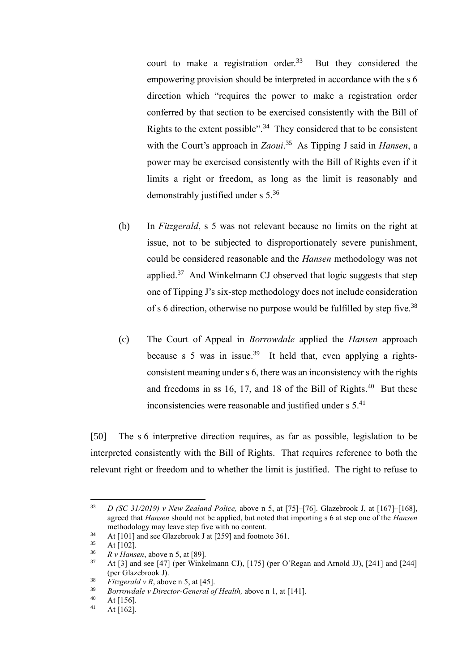court to make a registration order. $33$  But they considered the empowering provision should be interpreted in accordance with the s 6 direction which "requires the power to make a registration order conferred by that section to be exercised consistently with the Bill of Rights to the extent possible".<sup>34</sup> They considered that to be consistent with the Court's approach in *Zaoui*. 35 As Tipping J said in *Hansen*, a power may be exercised consistently with the Bill of Rights even if it limits a right or freedom, as long as the limit is reasonably and demonstrably justified under s 5.<sup>36</sup>

- (b) In *Fitzgerald*, s 5 was not relevant because no limits on the right at issue, not to be subjected to disproportionately severe punishment, could be considered reasonable and the *Hansen* methodology was not applied.<sup>37</sup> And Winkelmann CJ observed that logic suggests that step one of Tipping J's six-step methodology does not include consideration of s 6 direction, otherwise no purpose would be fulfilled by step five.<sup>38</sup>
- (c) The Court of Appeal in *Borrowdale* applied the *Hansen* approach because s 5 was in issue.<sup>39</sup> It held that, even applying a rightsconsistent meaning under s 6, there was an inconsistency with the rights and freedoms in ss  $16$ , 17, and 18 of the Bill of Rights.<sup>40</sup> But these inconsistencies were reasonable and justified under  $s$  5.<sup>41</sup>

[50] The s 6 interpretive direction requires, as far as possible, legislation to be interpreted consistently with the Bill of Rights. That requires reference to both the relevant right or freedom and to whether the limit is justified. The right to refuse to

<sup>33</sup> *D (SC 31/2019) v New Zealand Police,* above n [5,](#page-10-0) at [75]–[76]. Glazebrook J, at [167]–[168], agreed that *Hansen* should not be applied, but noted that importing s 6 at step one of the *Hansen*  methodology may leave step five with no content.

<sup>34</sup> At [101] and see Glazebrook J at [259] and footnote 361.

 $\frac{35}{36}$  At [102].

 $\frac{36}{37}$  *R v Hansen*, above [n 5,](#page-10-0) at [89].

<sup>37</sup> At [3] and see [47] (per Winkelmann CJ), [175] (per O'Regan and Arnold JJ), [241] and [244] (per Glazebrook J).

<sup>&</sup>lt;sup>38</sup> *Fitzgerald v R*, above [n 5,](#page-10-0) at [45].

<sup>39</sup> *Borrowdale v Director-General of Health,* above n [1,](#page-3-0) at [141].

 $40$  At [156].<br> $41$  At [162]

At [162].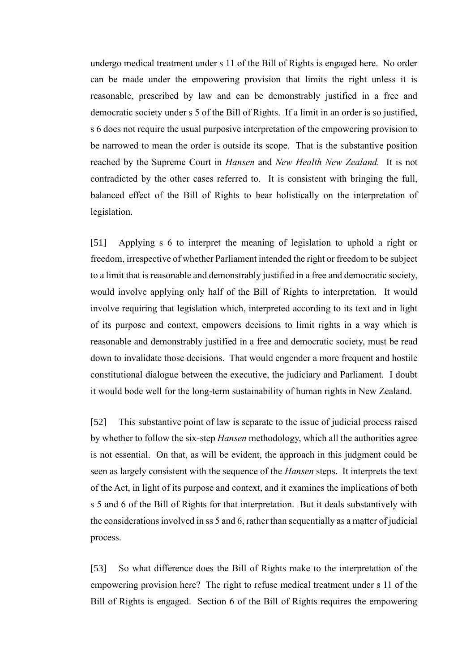undergo medical treatment under s 11 of the Bill of Rights is engaged here. No order can be made under the empowering provision that limits the right unless it is reasonable, prescribed by law and can be demonstrably justified in a free and democratic society under s 5 of the Bill of Rights. If a limit in an order is so justified, s 6 does not require the usual purposive interpretation of the empowering provision to be narrowed to mean the order is outside its scope. That is the substantive position reached by the Supreme Court in *Hansen* and *New Health New Zealand.* It is not contradicted by the other cases referred to. It is consistent with bringing the full, balanced effect of the Bill of Rights to bear holistically on the interpretation of legislation.

[51] Applying s 6 to interpret the meaning of legislation to uphold a right or freedom, irrespective of whether Parliament intended the right or freedom to be subject to a limit that is reasonable and demonstrably justified in a free and democratic society, would involve applying only half of the Bill of Rights to interpretation. It would involve requiring that legislation which, interpreted according to its text and in light of its purpose and context, empowers decisions to limit rights in a way which is reasonable and demonstrably justified in a free and democratic society, must be read down to invalidate those decisions. That would engender a more frequent and hostile constitutional dialogue between the executive, the judiciary and Parliament. I doubt it would bode well for the long-term sustainability of human rights in New Zealand.

[52] This substantive point of law is separate to the issue of judicial process raised by whether to follow the six-step *Hansen* methodology, which all the authorities agree is not essential. On that, as will be evident, the approach in this judgment could be seen as largely consistent with the sequence of the *Hansen* steps. It interprets the text of the Act, in light of its purpose and context, and it examines the implications of both s 5 and 6 of the Bill of Rights for that interpretation. But it deals substantively with the considerations involved in ss 5 and 6, rather than sequentially as a matter of judicial process.

[53] So what difference does the Bill of Rights make to the interpretation of the empowering provision here? The right to refuse medical treatment under s 11 of the Bill of Rights is engaged. Section 6 of the Bill of Rights requires the empowering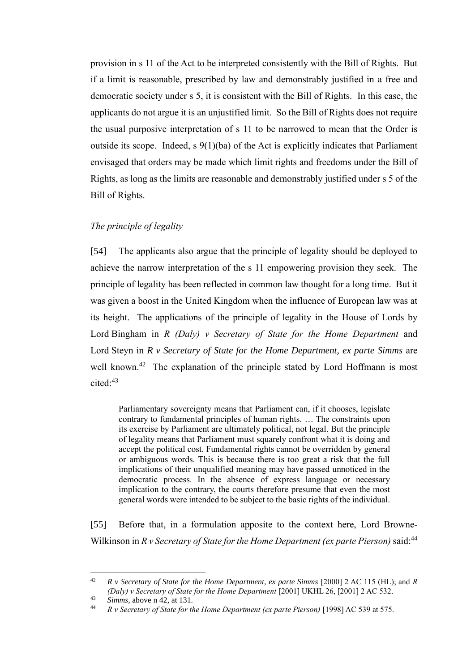provision in s 11 of the Act to be interpreted consistently with the Bill of Rights. But if a limit is reasonable, prescribed by law and demonstrably justified in a free and democratic society under s 5, it is consistent with the Bill of Rights. In this case, the applicants do not argue it is an unjustified limit. So the Bill of Rights does not require the usual purposive interpretation of s 11 to be narrowed to mean that the Order is outside its scope. Indeed, s 9(1)(ba) of the Act is explicitly indicates that Parliament envisaged that orders may be made which limit rights and freedoms under the Bill of Rights, as long as the limits are reasonable and demonstrably justified under s 5 of the Bill of Rights.

### *The principle of legality*

[54] The applicants also argue that the principle of legality should be deployed to achieve the narrow interpretation of the s 11 empowering provision they seek. The principle of legality has been reflected in common law thought for a long time. But it was given a boost in the United Kingdom when the influence of European law was at its height. The applications of the principle of legality in the House of Lords by Lord Bingham in *R (Daly) v Secretary of State for the Home Department* and Lord Steyn in *R v Secretary of State for the Home Department, ex parte Simms* are well known.<sup>42</sup> The explanation of the principle stated by Lord Hoffmann is most cited: 43

<span id="page-23-0"></span>Parliamentary sovereignty means that Parliament can, if it chooses, legislate contrary to fundamental principles of human rights. … The constraints upon its exercise by Parliament are ultimately political, not legal. But the principle of legality means that Parliament must squarely confront what it is doing and accept the political cost. Fundamental rights cannot be overridden by general or ambiguous words. This is because there is too great a risk that the full implications of their unqualified meaning may have passed unnoticed in the democratic process. In the absence of express language or necessary implication to the contrary, the courts therefore presume that even the most general words were intended to be subject to the basic rights of the individual.

[55] Before that, in a formulation apposite to the context here, Lord Browne-Wilkinson in *R v Secretary of State for the Home Department (ex parte Pierson)* said:<sup>44</sup>

<sup>42</sup> *R v Secretary of State for the Home Department, ex parte Simms* [2000] 2 AC 115 (HL); and *R (Daly) v Secretary of State for the Home Department* [2001] UKHL 26, [2001] 2 AC 532.

<sup>43</sup> *Simms,* above [n 42,](#page-23-0) at 131.

<sup>44</sup> *R v Secretary of State for the Home Department (ex parte Pierson)* [1998] AC 539 at 575.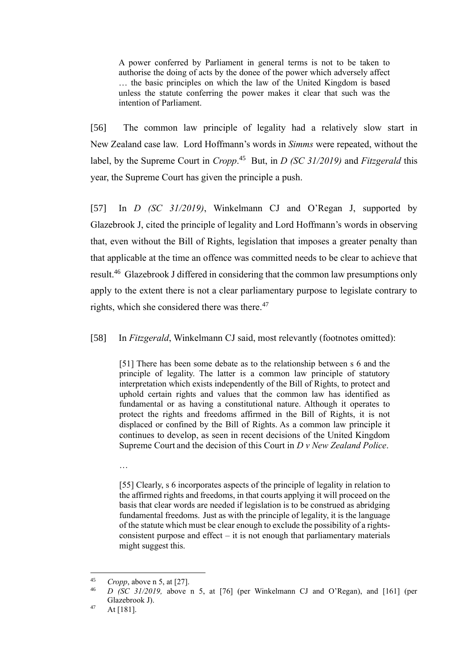A power conferred by Parliament in general terms is not to be taken to authorise the doing of acts by the donee of the power which adversely affect … the basic principles on which the law of the United Kingdom is based unless the statute conferring the power makes it clear that such was the intention of Parliament.

[56] The common law principle of legality had a relatively slow start in New Zealand case law. Lord Hoffmann's words in *Simms* were repeated, without the label, by the Supreme Court in *Cropp*. 45 But, in *D (SC 31/2019)* and *Fitzgerald* this year, the Supreme Court has given the principle a push.

[57] In *D (SC 31/2019)*, Winkelmann CJ and O'Regan J, supported by Glazebrook J, cited the principle of legality and Lord Hoffmann's words in observing that, even without the Bill of Rights, legislation that imposes a greater penalty than that applicable at the time an offence was committed needs to be clear to achieve that result.<sup>46</sup> Glazebrook J differed in considering that the common law presumptions only apply to the extent there is not a clear parliamentary purpose to legislate contrary to rights, which she considered there was there.<sup>47</sup>

[58] In *Fitzgerald*, Winkelmann CJ said, most relevantly (footnotes omitted):

[51] There has been some debate as to the relationship between s 6 and the principle of legality. The latter is a common law principle of statutory interpretation which exists independently of the Bill of Rights, to protect and uphold certain rights and values that the common law has identified as fundamental or as having a constitutional nature. Although it operates to protect the rights and freedoms affirmed in the Bill of Rights, it is not displaced or confined by the Bill of Rights. As a common law principle it continues to develop, as seen in recent decisions of the United Kingdom Supreme Court and the decision of this Court in *D v New Zealand Police*.

[55] Clearly, s 6 incorporates aspects of the principle of legality in relation to the affirmed rights and freedoms, in that courts applying it will proceed on the basis that clear words are needed if legislation is to be construed as abridging fundamental freedoms. Just as with the principle of legality, it is the language of the statute which must be clear enough to exclude the possibility of a rightsconsistent purpose and effect  $-$  it is not enough that parliamentary materials might suggest this.

…

<sup>45</sup> *Cropp*, above [n 5,](#page-10-0) at [27].

<sup>46</sup> *D (SC 31/2019,* above n [5,](#page-10-0) at [76] (per Winkelmann CJ and O'Regan), and [161] (per Glazebrook J).

 $47$  At [181].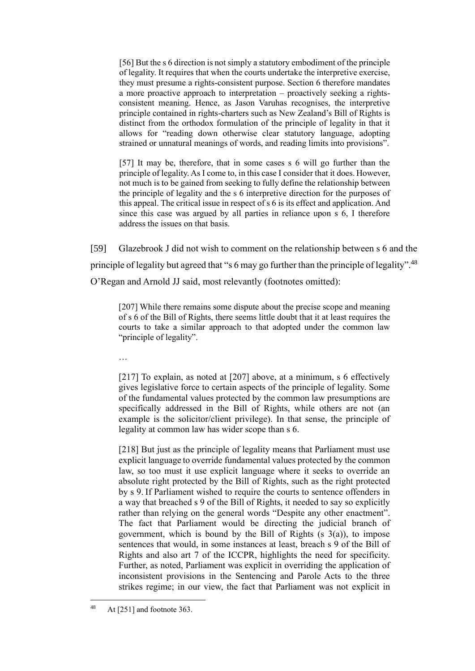[56] But the s 6 direction is not simply a statutory embodiment of the principle of legality. It requires that when the courts undertake the interpretive exercise, they must presume a rights-consistent purpose. Section 6 therefore mandates a more proactive approach to interpretation – proactively seeking a rightsconsistent meaning. Hence, as Jason Varuhas recognises, the interpretive principle contained in rights-charters such as New Zealand's Bill of Rights is distinct from the orthodox formulation of the principle of legality in that it allows for "reading down otherwise clear statutory language, adopting strained or unnatural meanings of words, and reading limits into provisions".

[57] It may be, therefore, that in some cases s 6 will go further than the principle of legality. As I come to, in this case I consider that it does. However, not much is to be gained from seeking to fully define the relationship between the principle of legality and the s 6 interpretive direction for the purposes of this appeal. The critical issue in respect of s 6 is its effect and application. And since this case was argued by all parties in reliance upon s 6, I therefore address the issues on that basis.

[59] Glazebrook J did not wish to comment on the relationship between s 6 and the principle of legality but agreed that "s 6 may go further than the principle of legality".<sup>48</sup> O'Regan and Arnold JJ said, most relevantly (footnotes omitted):

[207] While there remains some dispute about the precise scope and meaning of s 6 of the Bill of Rights, there seems little doubt that it at least requires the courts to take a similar approach to that adopted under the common law "principle of legality".

…

[217] To explain, as noted at [207] above, at a minimum, s 6 effectively gives legislative force to certain aspects of the principle of legality. Some of the fundamental values protected by the common law presumptions are specifically addressed in the Bill of Rights, while others are not (an example is the solicitor/client privilege). In that sense, the principle of legality at common law has wider scope than s 6.

[218] But just as the principle of legality means that Parliament must use explicit language to override fundamental values protected by the common law, so too must it use explicit language where it seeks to override an absolute right protected by the Bill of Rights, such as the right protected by s 9. If Parliament wished to require the courts to sentence offenders in a way that breached s 9 of the Bill of Rights, it needed to say so explicitly rather than relying on the general words "Despite any other enactment". The fact that Parliament would be directing the judicial branch of government, which is bound by the Bill of Rights  $(s \ 3(a))$ , to impose sentences that would, in some instances at least, breach s 9 of the Bill of Rights and also art 7 of the ICCPR, highlights the need for specificity. Further, as noted, Parliament was explicit in overriding the application of inconsistent provisions in the Sentencing and Parole Acts to the three strikes regime; in our view, the fact that Parliament was not explicit in

 $48$  At [251] and footnote 363.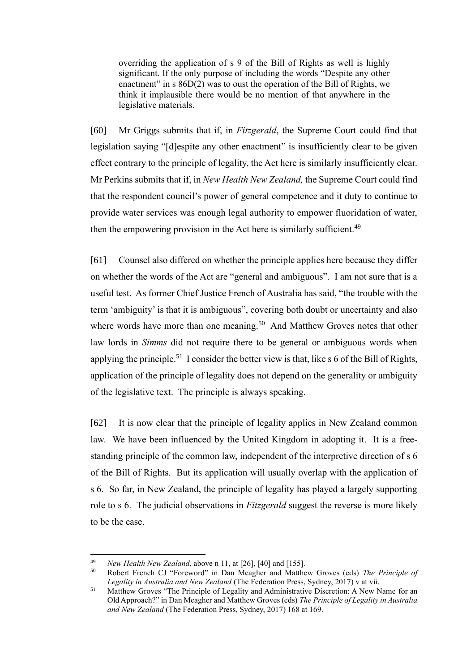overriding the application of s 9 of the Bill of Rights as well is highly significant. If the only purpose of including the words "Despite any other enactment" in s  $86D(2)$  was to oust the operation of the Bill of Rights, we think it implausible there would be no mention of that anywhere in the legislative materials.

[60] Mr Griggs submits that if, in *Fitzgerald*, the Supreme Court could find that legislation saying "[d]espite any other enactment" is insufficiently clear to be given effect contrary to the principle of legality, the Act here is similarly insufficiently clear. Mr Perkins submits that if, in *New Health New Zealand,* the Supreme Court could find that the respondent council's power of general competence and it duty to continue to provide water services was enough legal authority to empower fluoridation of water, then the empowering provision in the Act here is similarly sufficient.<sup>49</sup>

[61] Counsel also differed on whether the principle applies here because they differ on whether the words of the Act are "general and ambiguous". I am not sure that is a useful test. As former Chief Justice French of Australia has said, "the trouble with the term 'ambiguity' is that it is ambiguous", covering both doubt or uncertainty and also where words have more than one meaning.<sup>50</sup> And Matthew Groves notes that other law lords in *Simms* did not require there to be general or ambiguous words when applying the principle.<sup>51</sup> I consider the better view is that, like  $s$  6 of the Bill of Rights, application of the principle of legality does not depend on the generality or ambiguity of the legislative text. The principle is always speaking.

[62] It is now clear that the principle of legality applies in New Zealand common law. We have been influenced by the United Kingdom in adopting it. It is a freestanding principle of the common law, independent of the interpretive direction of s 6 of the Bill of Rights. But its application will usually overlap with the application of s 6. So far, in New Zealand, the principle of legality has played a largely supporting role to s 6. The judicial observations in *Fitzgerald* suggest the reverse is more likely to be the case.

<sup>&</sup>lt;sup>49</sup> *New Health New Zealand*, above [n 11,](#page-16-1) at [26], [40] and [155].<br><sup>50</sup> Pobert Franch CJ "Foreword" in Dan Maggher and Matthe

<sup>50</sup> Robert French CJ "Foreword" in Dan Meagher and Matthew Groves (eds) *The Principle of Legality in Australia and New Zealand* (The Federation Press, Sydney, 2017) v at vii.

<sup>&</sup>lt;sup>51</sup> Matthew Groves "The Principle of Legality and Administrative Discretion: A New Name for an Old Approach?" in Dan Meagher and Matthew Groves (eds) *The Principle of Legality in Australia and New Zealand* (The Federation Press, Sydney, 2017) 168 at 169.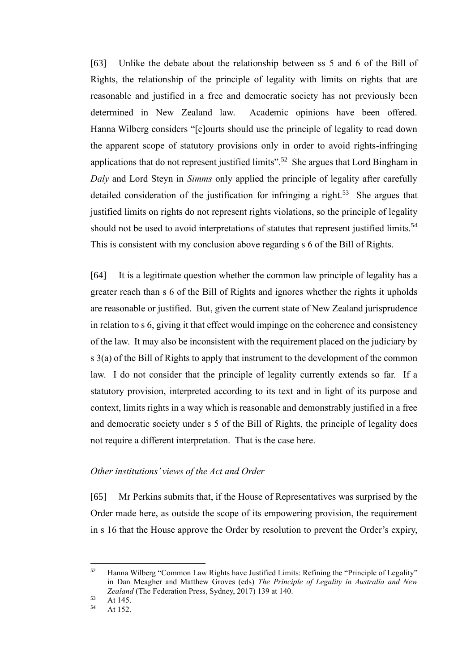[63] Unlike the debate about the relationship between ss 5 and 6 of the Bill of Rights, the relationship of the principle of legality with limits on rights that are reasonable and justified in a free and democratic society has not previously been determined in New Zealand law. Academic opinions have been offered. Hanna Wilberg considers "[c]ourts should use the principle of legality to read down the apparent scope of statutory provisions only in order to avoid rights-infringing applications that do not represent justified limits". 52 She argues that Lord Bingham in *Daly* and Lord Steyn in *Simms* only applied the principle of legality after carefully detailed consideration of the justification for infringing a right.<sup>53</sup> She argues that justified limits on rights do not represent rights violations, so the principle of legality should not be used to avoid interpretations of statutes that represent justified limits.<sup>54</sup> This is consistent with my conclusion above regarding s 6 of the Bill of Rights.

[64] It is a legitimate question whether the common law principle of legality has a greater reach than s 6 of the Bill of Rights and ignores whether the rights it upholds are reasonable or justified. But, given the current state of New Zealand jurisprudence in relation to s 6, giving it that effect would impinge on the coherence and consistency of the law. It may also be inconsistent with the requirement placed on the judiciary by s 3(a) of the Bill of Rights to apply that instrument to the development of the common law. I do not consider that the principle of legality currently extends so far. If a statutory provision, interpreted according to its text and in light of its purpose and context, limits rights in a way which is reasonable and demonstrably justified in a free and democratic society under s 5 of the Bill of Rights, the principle of legality does not require a different interpretation. That is the case here.

#### *Other institutions' views of the Act and Order*

[65] Mr Perkins submits that, if the House of Representatives was surprised by the Order made here, as outside the scope of its empowering provision, the requirement in s 16 that the House approve the Order by resolution to prevent the Order's expiry,

<sup>52</sup> Hanna Wilberg "Common Law Rights have Justified Limits: Refining the "Principle of Legality" in Dan Meagher and Matthew Groves (eds) *The Principle of Legality in Australia and New Zealand* (The Federation Press, Sydney, 2017) 139 at 140.

 $53$  At 145.

At 152.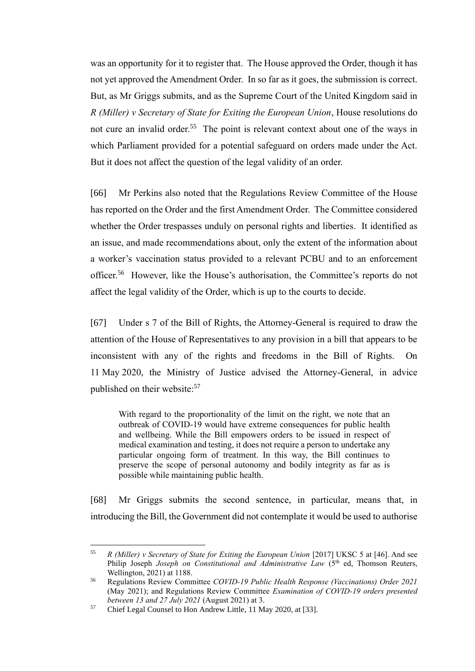was an opportunity for it to register that. The House approved the Order, though it has not yet approved the Amendment Order. In so far as it goes, the submission is correct. But, as Mr Griggs submits, and as the Supreme Court of the United Kingdom said in *R (Miller) v Secretary of State for Exiting the European Union*, House resolutions do not cure an invalid order.<sup>55</sup> The point is relevant context about one of the ways in which Parliament provided for a potential safeguard on orders made under the Act. But it does not affect the question of the legal validity of an order.

[66] Mr Perkins also noted that the Regulations Review Committee of the House has reported on the Order and the first Amendment Order. The Committee considered whether the Order trespasses unduly on personal rights and liberties. It identified as an issue, and made recommendations about, only the extent of the information about a worker's vaccination status provided to a relevant PCBU and to an enforcement officer.<sup>56</sup> However, like the House's authorisation, the Committee's reports do not affect the legal validity of the Order, which is up to the courts to decide.

[67] Under s 7 of the Bill of Rights, the Attorney-General is required to draw the attention of the House of Representatives to any provision in a bill that appears to be inconsistent with any of the rights and freedoms in the Bill of Rights. On 11 May 2020, the Ministry of Justice advised the Attorney-General, in advice published on their website:<sup>57</sup>

With regard to the proportionality of the limit on the right, we note that an outbreak of COVID-19 would have extreme consequences for public health and wellbeing. While the Bill empowers orders to be issued in respect of medical examination and testing, it does not require a person to undertake any particular ongoing form of treatment. In this way, the Bill continues to preserve the scope of personal autonomy and bodily integrity as far as is possible while maintaining public health.

[68] Mr Griggs submits the second sentence, in particular, means that, in introducing the Bill, the Government did not contemplate it would be used to authorise

<sup>55</sup> *R (Miller) v Secretary of State for Exiting the European Union* [2017] UKSC 5 at [46]. And see Philip Joseph *Joseph on Constitutional and Administrative Law* (5<sup>th</sup> ed, Thomson Reuters, Wellington, 2021) at 1188.

<sup>56</sup> Regulations Review Committee *COVID-19 Public Health Response (Vaccinations) Order 2021* (May 2021); and Regulations Review Committee *Examination of COVID-19 orders presented between 13 and 27 July 2021* (August 2021) at 3.

<sup>57</sup> Chief Legal Counsel to Hon Andrew Little, 11 May 2020, at [33].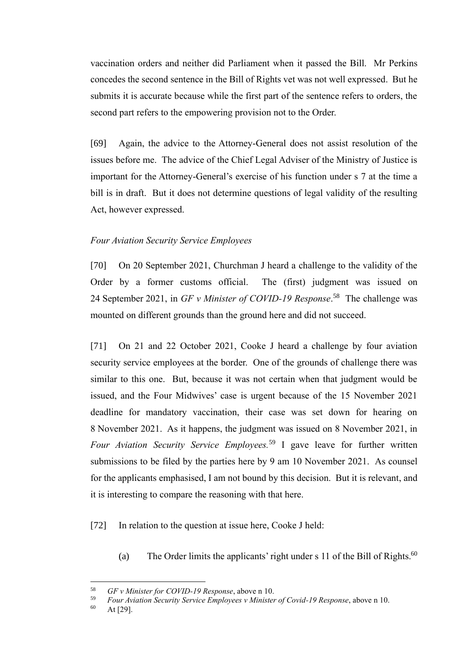vaccination orders and neither did Parliament when it passed the Bill. Mr Perkins concedes the second sentence in the Bill of Rights vet was not well expressed. But he submits it is accurate because while the first part of the sentence refers to orders, the second part refers to the empowering provision not to the Order.

[69] Again, the advice to the Attorney-General does not assist resolution of the issues before me. The advice of the Chief Legal Adviser of the Ministry of Justice is important for the Attorney-General's exercise of his function under s 7 at the time a bill is in draft. But it does not determine questions of legal validity of the resulting Act, however expressed.

#### *Four Aviation Security Service Employees*

[70] On 20 September 2021, Churchman J heard a challenge to the validity of the Order by a former customs official. The (first) judgment was issued on 24 September 2021, in *GF v Minister of COVID-19 Response*. 58 The challenge was mounted on different grounds than the ground here and did not succeed.

[71] On 21 and 22 October 2021, Cooke J heard a challenge by four aviation security service employees at the border. One of the grounds of challenge there was similar to this one. But, because it was not certain when that judgment would be issued, and the Four Midwives' case is urgent because of the 15 November 2021 deadline for mandatory vaccination, their case was set down for hearing on 8 November 2021. As it happens, the judgment was issued on 8 November 2021, in *Four Aviation Security Service Employees.*<sup>59</sup> I gave leave for further written submissions to be filed by the parties here by 9 am 10 November 2021. As counsel for the applicants emphasised, I am not bound by this decision. But it is relevant, and it is interesting to compare the reasoning with that here.

[72] In relation to the question at issue here, Cooke J held:

(a) The Order limits the applicants' right under s 11 of the Bill of Rights.<sup>60</sup>

<sup>58</sup> *GF v Minister for COVID-19 Response*, above n [10.](#page-15-0)

<sup>59</sup> *Four Aviation Security Service Employees v Minister of Covid-19 Response*, above n [10.](#page-15-0)

 $60$  At [29].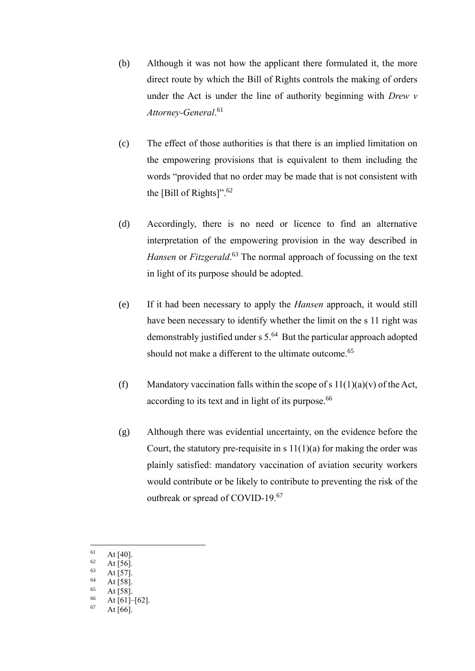- (b) Although it was not how the applicant there formulated it, the more direct route by which the Bill of Rights controls the making of orders under the Act is under the line of authority beginning with *Drew v Attorney-General*. 61
- (c) The effect of those authorities is that there is an implied limitation on the empowering provisions that is equivalent to them including the words "provided that no order may be made that is not consistent with the [Bill of Rights]". 62
- (d) Accordingly, there is no need or licence to find an alternative interpretation of the empowering provision in the way described in *Hansen* or *Fitzgerald*. <sup>63</sup> The normal approach of focussing on the text in light of its purpose should be adopted.
- (e) If it had been necessary to apply the *Hansen* approach, it would still have been necessary to identify whether the limit on the s 11 right was demonstrably justified under s 5.<sup>64</sup> But the particular approach adopted should not make a different to the ultimate outcome.<sup>65</sup>
- (f) Mandatory vaccination falls within the scope of s  $11(1)(a)(v)$  of the Act, according to its text and in light of its purpose.<sup>66</sup>
- (g) Although there was evidential uncertainty, on the evidence before the Court, the statutory pre-requisite in s  $11(1)(a)$  for making the order was plainly satisfied: mandatory vaccination of aviation security workers would contribute or be likely to contribute to preventing the risk of the outbreak or spread of COVID-19.<sup>67</sup>
- $\begin{bmatrix} 61 & \text{At } [40], \\ 62 & \text{At } [56]. \end{bmatrix}$
- $\frac{62}{63}$  At [56].
- At [57].
- $^{64}$  At [58].
- $65$  At [58].
- $\begin{array}{cc}\n 66 \\
67 \\
4 + 561 \\
\end{array}$
- At  $[66]$ .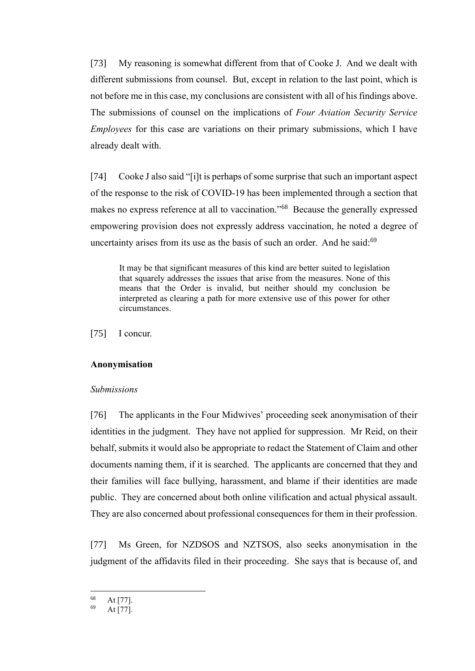[73] My reasoning is somewhat different from that of Cooke J. And we dealt with different submissions from counsel. But, except in relation to the last point, which is not before me in this case, my conclusions are consistent with all of his findings above. The submissions of counsel on the implications of *Four Aviation Security Service Employees* for this case are variations on their primary submissions, which I have already dealt with.

[74] Cooke J also said "[i]t is perhaps of some surprise that such an important aspect of the response to the risk of COVID-19 has been implemented through a section that makes no express reference at all to vaccination."<sup>68</sup> Because the generally expressed empowering provision does not expressly address vaccination, he noted a degree of uncertainty arises from its use as the basis of such an order. And he said:<sup>69</sup>

It may be that significant measures of this kind are better suited to legislation that squarely addresses the issues that arise from the measures. None of this means that the Order is invalid, but neither should my conclusion be interpreted as clearing a path for more extensive use of this power for other circumstances.

[75] I concur.

### **Anonymisation**

#### *Submissions*

[76] The applicants in the Four Midwives' proceeding seek anonymisation of their identities in the judgment. They have not applied for suppression. Mr Reid, on their behalf, submits it would also be appropriate to redact the Statement of Claim and other documents naming them, if it is searched. The applicants are concerned that they and their families will face bullying, harassment, and blame if their identities are made public. They are concerned about both online vilification and actual physical assault. They are also concerned about professional consequences for them in their profession.

[77] Ms Green, for NZDSOS and NZTSOS, also seeks anonymisation in the judgment of the affidavits filed in their proceeding. She says that is because of, and

 $\frac{68}{69}$  At [77].

At [77].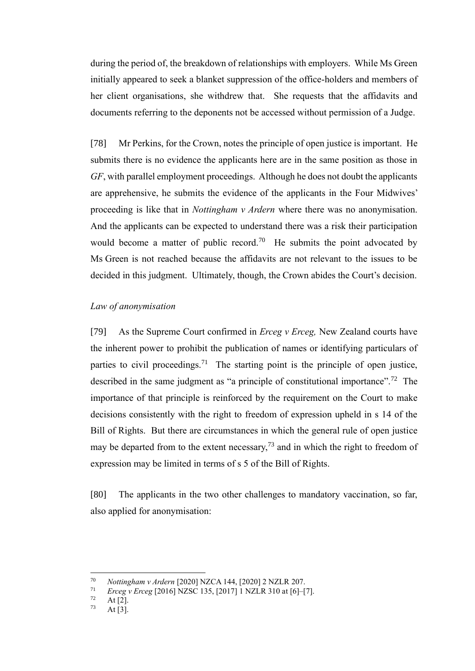during the period of, the breakdown of relationships with employers. While Ms Green initially appeared to seek a blanket suppression of the office-holders and members of her client organisations, she withdrew that. She requests that the affidavits and documents referring to the deponents not be accessed without permission of a Judge.

[78] Mr Perkins, for the Crown, notes the principle of open justice is important. He submits there is no evidence the applicants here are in the same position as those in *GF*, with parallel employment proceedings. Although he does not doubt the applicants are apprehensive, he submits the evidence of the applicants in the Four Midwives' proceeding is like that in *Nottingham v Ardern* where there was no anonymisation. And the applicants can be expected to understand there was a risk their participation would become a matter of public record.<sup>70</sup> He submits the point advocated by Ms Green is not reached because the affidavits are not relevant to the issues to be decided in this judgment. Ultimately, though, the Crown abides the Court's decision.

### <span id="page-32-0"></span>*Law of anonymisation*

[79] As the Supreme Court confirmed in *Erceg v Erceg,* New Zealand courts have the inherent power to prohibit the publication of names or identifying particulars of parties to civil proceedings.<sup>71</sup> The starting point is the principle of open justice, described in the same judgment as "a principle of constitutional importance".<sup>72</sup> The importance of that principle is reinforced by the requirement on the Court to make decisions consistently with the right to freedom of expression upheld in s 14 of the Bill of Rights. But there are circumstances in which the general rule of open justice may be departed from to the extent necessary,<sup>73</sup> and in which the right to freedom of expression may be limited in terms of s 5 of the Bill of Rights.

[80] The applicants in the two other challenges to mandatory vaccination, so far, also applied for anonymisation:

<sup>70</sup> *Nottingham v Ardern* [2020] NZCA 144, [2020] 2 NZLR 207.

<sup>71</sup> *Erceg v Erceg* [2016] NZSC 135, [2017] 1 NZLR 310 at [6]–[7].

 $\frac{72}{73}$  At [2].

At  $[3]$ .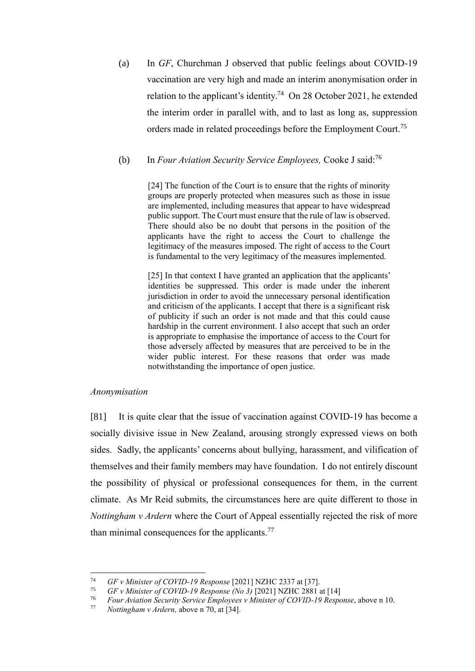(a) In *GF*, Churchman J observed that public feelings about COVID-19 vaccination are very high and made an interim anonymisation order in relation to the applicant's identity.<sup>74</sup> On 28 October 2021, he extended the interim order in parallel with, and to last as long as, suppression orders made in related proceedings before the Employment Court.<sup>75</sup>

### (b) In *Four Aviation Security Service Employees,* Cooke J said:<sup>76</sup>

[24] The function of the Court is to ensure that the rights of minority groups are properly protected when measures such as those in issue are implemented, including measures that appear to have widespread public support. The Court must ensure that the rule of law is observed. There should also be no doubt that persons in the position of the applicants have the right to access the Court to challenge the legitimacy of the measures imposed. The right of access to the Court is fundamental to the very legitimacy of the measures implemented.

[25] In that context I have granted an application that the applicants' identities be suppressed. This order is made under the inherent jurisdiction in order to avoid the unnecessary personal identification and criticism of the applicants. I accept that there is a significant risk of publicity if such an order is not made and that this could cause hardship in the current environment. I also accept that such an order is appropriate to emphasise the importance of access to the Court for those adversely affected by measures that are perceived to be in the wider public interest. For these reasons that order was made notwithstanding the importance of open justice.

#### *Anonymisation*

[81] It is quite clear that the issue of vaccination against COVID-19 has become a socially divisive issue in New Zealand, arousing strongly expressed views on both sides. Sadly, the applicants' concerns about bullying, harassment, and vilification of themselves and their family members may have foundation. I do not entirely discount the possibility of physical or professional consequences for them, in the current climate. As Mr Reid submits, the circumstances here are quite different to those in *Nottingham v Ardern* where the Court of Appeal essentially rejected the risk of more than minimal consequences for the applicants. $77$ 

<sup>74</sup> *GF v Minister of COVID-19 Response* [2021] NZHC 2337 at [37].

<sup>75</sup> *GF v Minister of COVID-19 Response (No 3)* [2021] NZHC 2881 at [14]

<sup>76</sup> *Four Aviation Security Service Employees v Minister of COVID-19 Response*, above [n 10.](#page-15-0)

*Nottingham v Ardern, above n [70,](#page-32-0) at [34].*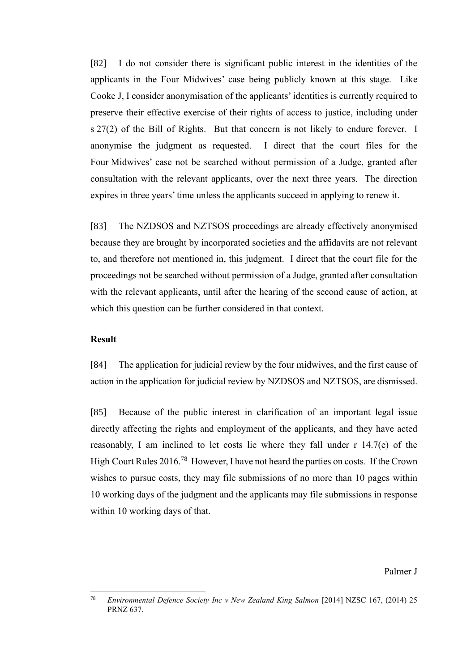[82] I do not consider there is significant public interest in the identities of the applicants in the Four Midwives' case being publicly known at this stage. Like Cooke J, I consider anonymisation of the applicants' identities is currently required to preserve their effective exercise of their rights of access to justice, including under s 27(2) of the Bill of Rights. But that concern is not likely to endure forever. I anonymise the judgment as requested. I direct that the court files for the Four Midwives' case not be searched without permission of a Judge, granted after consultation with the relevant applicants, over the next three years. The direction expires in three years' time unless the applicants succeed in applying to renew it.

[83] The NZDSOS and NZTSOS proceedings are already effectively anonymised because they are brought by incorporated societies and the affidavits are not relevant to, and therefore not mentioned in, this judgment. I direct that the court file for the proceedings not be searched without permission of a Judge, granted after consultation with the relevant applicants, until after the hearing of the second cause of action, at which this question can be further considered in that context.

### **Result**

[84] The application for judicial review by the four midwives, and the first cause of action in the application for judicial review by NZDSOS and NZTSOS, are dismissed.

[85] Because of the public interest in clarification of an important legal issue directly affecting the rights and employment of the applicants, and they have acted reasonably, I am inclined to let costs lie where they fall under r 14.7(e) of the High Court Rules 2016.<sup>78</sup> However, I have not heard the parties on costs. If the Crown wishes to pursue costs, they may file submissions of no more than 10 pages within 10 working days of the judgment and the applicants may file submissions in response within 10 working days of that.

#### Palmer J

<sup>78</sup> *Environmental Defence Society Inc v New Zealand King Salmon* [2014] NZSC 167, (2014) 25 PRNZ 637.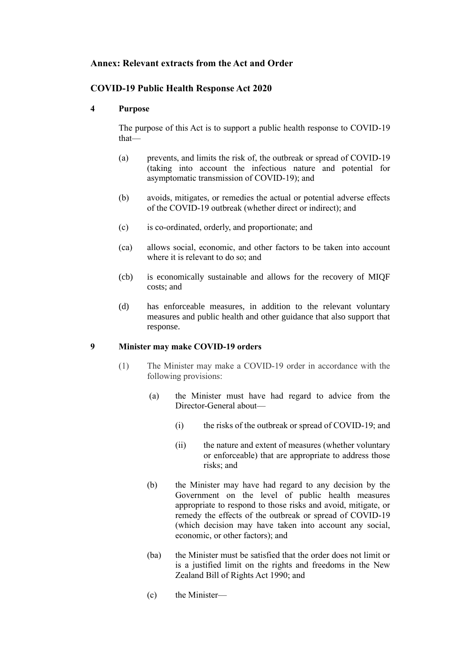## **Annex: Relevant extracts from the Act and Order**

## **COVID-19 Public Health Response Act 2020**

### **4 Purpose**

The purpose of this Act is to support a public health response to COVID-19 that—

- (a) prevents, and limits the risk of, the outbreak or spread of COVID-19 (taking into account the infectious nature and potential for asymptomatic transmission of COVID-19); and
- (b) avoids, mitigates, or remedies the actual or potential adverse effects of the COVID-19 outbreak (whether direct or indirect); and
- (c) is co-ordinated, orderly, and proportionate; and
- (ca) allows social, economic, and other factors to be taken into account where it is relevant to do so; and
- (cb) is economically sustainable and allows for the recovery of MIQF costs; and
- (d) has enforceable measures, in addition to the relevant voluntary measures and public health and other guidance that also support that response.

#### **9 Minister may make COVID-19 orders**

- (1) The Minister may make a COVID-19 order in accordance with the following provisions:
	- (a) the Minister must have had regard to advice from the Director-General about—
		- (i) the risks of the outbreak or spread of COVID-19; and
		- (ii) the nature and extent of measures (whether voluntary or enforceable) that are appropriate to address those risks; and
	- (b) the Minister may have had regard to any decision by the Government on the level of public health measures appropriate to respond to those risks and avoid, mitigate, or remedy the effects of the outbreak or spread of COVID-19 (which decision may have taken into account any social, economic, or other factors); and
	- (ba) the Minister must be satisfied that the order does not limit or is a justified limit on the rights and freedoms in the [New](https://www.legislation.govt.nz/act/public/2020/0012/latest/link.aspx?search=ts_act%40bill%40regulation%40deemedreg_COVID-19_resel_25_a&p=1&id=DLM224791)  [Zealand Bill of Rights Act 1990;](https://www.legislation.govt.nz/act/public/2020/0012/latest/link.aspx?search=ts_act%40bill%40regulation%40deemedreg_COVID-19_resel_25_a&p=1&id=DLM224791) and
	- (c) the Minister—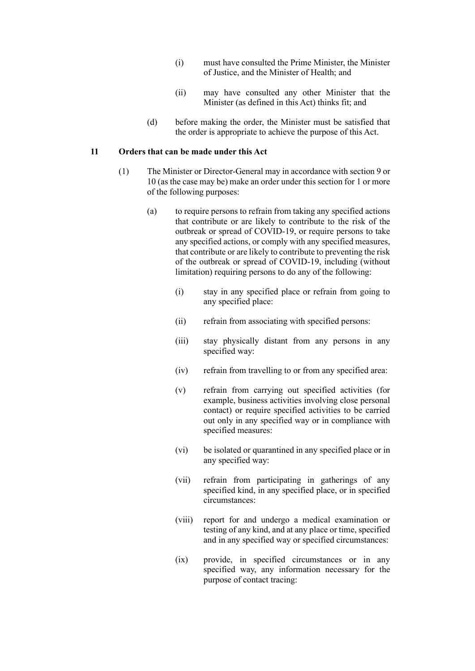- (i) must have consulted the Prime Minister, the Minister of Justice, and the Minister of Health; and
- (ii) may have consulted any other Minister that the Minister (as defined in this Act) thinks fit; and
- (d) before making the order, the Minister must be satisfied that the order is appropriate to achieve the purpose of this Act.

#### **11 Orders that can be made under this Act**

- (1) The Minister or Director-General may in accordance wit[h section 9](https://www.legislation.govt.nz/act/public/2020/0012/latest/link.aspx?id=LMS344175#LMS344175) or [10](https://www.legislation.govt.nz/act/public/2020/0012/latest/link.aspx?id=LMS344176#LMS344176) (as the case may be) make an order under this section for 1 or more of the following purposes:
	- (a) to require persons to refrain from taking any specified actions that contribute or are likely to contribute to the risk of the outbreak or spread of COVID-19, or require persons to take any specified actions, or comply with any specified measures, that contribute or are likely to contribute to preventing the risk of the outbreak or spread of COVID-19, including (without limitation) requiring persons to do any of the following:
		- (i) stay in any specified place or refrain from going to any specified place:
		- (ii) refrain from associating with specified persons:
		- (iii) stay physically distant from any persons in any specified way:
		- (iv) refrain from travelling to or from any specified area:
		- (v) refrain from carrying out specified activities (for example, business activities involving close personal contact) or require specified activities to be carried out only in any specified way or in compliance with specified measures:
		- (vi) be isolated or quarantined in any specified place or in any specified way:
		- (vii) refrain from participating in gatherings of any specified kind, in any specified place, or in specified circumstances:
		- (viii) report for and undergo a medical examination or testing of any kind, and at any place or time, specified and in any specified way or specified circumstances:
		- (ix) provide, in specified circumstances or in any specified way, any information necessary for the purpose of contact tracing: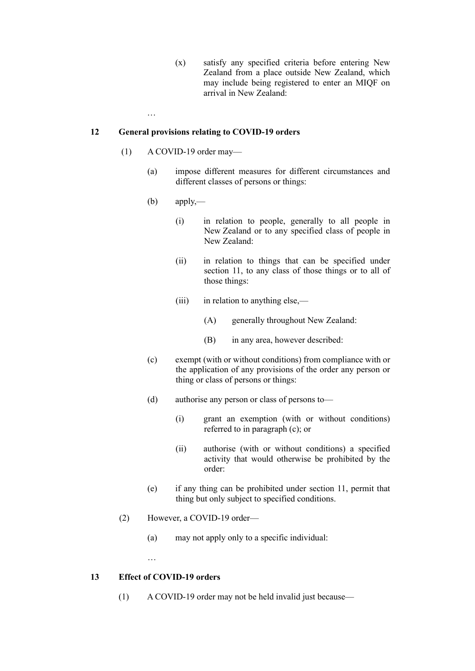(x) satisfy any specified criteria before entering New Zealand from a place outside New Zealand, which may include being registered to enter an MIQF on arrival in New Zealand:

#### **12 General provisions relating to COVID-19 orders**

(1) A COVID-19 order may—

…

- (a) impose different measures for different circumstances and different classes of persons or things:
- $(b)$  apply,—
	- (i) in relation to people, generally to all people in New Zealand or to any specified class of people in New Zealand:
	- (ii) in relation to things that can be specified under [section 11,](https://www.legislation.govt.nz/act/public/2020/0012/latest/link.aspx?search=ts_act%40bill%40regulation%40deemedreg_COVID-19_resel_25_a&p=1&id=LMS344177#LMS344177) to any class of those things or to all of those things:
	- (iii) in relation to anything else,—
		- (A) generally throughout New Zealand:
		- (B) in any area, however described:
- (c) exempt (with or without conditions) from compliance with or the application of any provisions of the order any person or thing or class of persons or things:
- (d) authorise any person or class of persons to—
	- (i) grant an exemption (with or without conditions) referred to in paragraph (c); or
	- (ii) authorise (with or without conditions) a specified activity that would otherwise be prohibited by the order:
- (e) if any thing can be prohibited under [section 11,](https://www.legislation.govt.nz/act/public/2020/0012/latest/link.aspx?search=ts_act%40bill%40regulation%40deemedreg_COVID-19_resel_25_a&p=1&id=LMS344177#LMS344177) permit that thing but only subject to specified conditions.
- (2) However, a COVID-19 order—
	- (a) may not apply only to a specific individual:
	- …

#### **13 Effect of COVID-19 orders**

(1) A COVID-19 order may not be held invalid just because—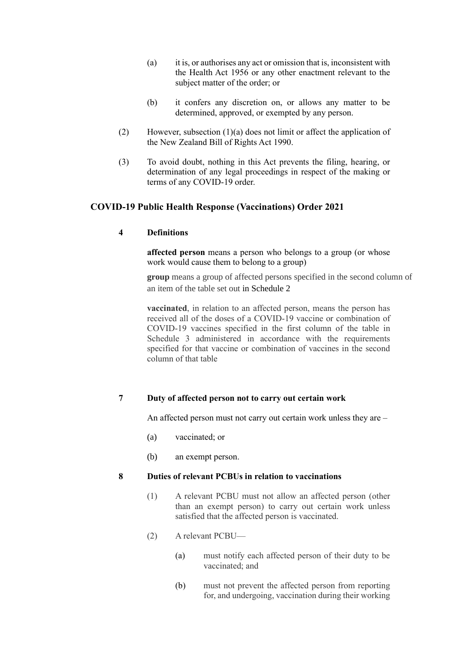- (a) it is, or authorises any act or omission that is, inconsistent with the [Health Act 1956](https://www.legislation.govt.nz/act/public/2020/0012/latest/link.aspx?search=ts_act%40bill%40regulation%40deemedreg_COVID-19_resel_25_a&p=1&id=DLM305839) or any other enactment relevant to the subject matter of the order; or
- (b) it confers any discretion on, or allows any matter to be determined, approved, or exempted by any person.
- (2) However, subsection (1)(a) does not limit or affect the application of the [New Zealand Bill of Rights Act 1990.](https://www.legislation.govt.nz/act/public/2020/0012/latest/link.aspx?search=ts_act%40bill%40regulation%40deemedreg_COVID-19_resel_25_a&p=1&id=DLM224791)
- (3) To avoid doubt, nothing in this Act prevents the filing, hearing, or determination of any legal proceedings in respect of the making or terms of any COVID-19 order.

### **COVID-19 Public Health Response (Vaccinations) Order 2021**

#### **4 Definitions**

**affected person** means a person who belongs to a group (or whose work would cause them to belong to a group)

**group** means a group of affected persons specified in the second column of an item of the table set out in [Schedule 2](https://www.legislation.govt.nz/regulation/public/2021/0094/18.0/link.aspx?id=LMS487909#LMS487909)

**vaccinated**, in relation to an affected person, means the person has received all of the doses of a COVID-19 vaccine or combination of COVID-19 vaccines specified in the first column of the table in Schedule 3 administered in accordance with the requirements specified for that vaccine or combination of vaccines in the second column of that table

### **7 Duty of affected person not to carry out certain work**

An affected person must not carry out certain work unless they are –

- (a) vaccinated; or
- (b) an exempt person.

#### **8 Duties of relevant PCBUs in relation to vaccinations**

- (1) A relevant PCBU must not allow an affected person (other than an exempt person) to carry out certain work unless satisfied that the affected person is vaccinated.
- (2) A relevant PCBU—
	- (a) must notify each affected person of their duty to be vaccinated; and
	- (b) must not prevent the affected person from reporting for, and undergoing, vaccination during their working